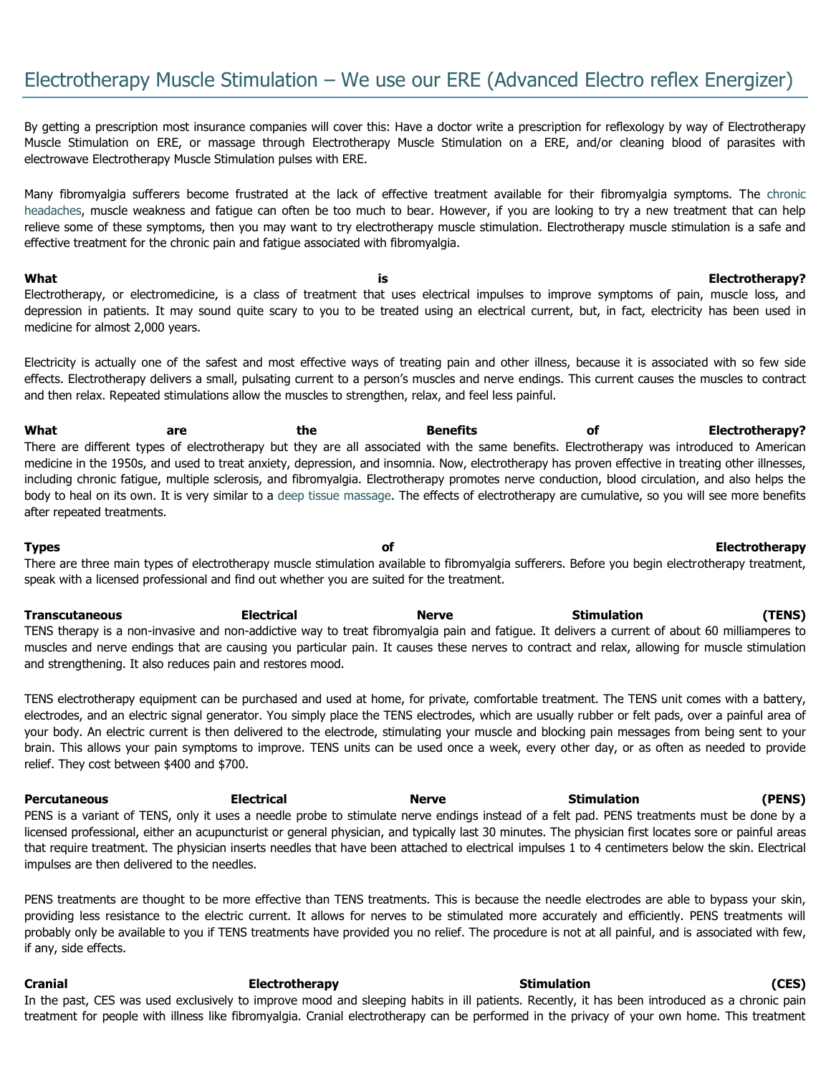By getting a prescription most insurance companies will cover this: Have a doctor write a prescription for reflexology by way of Electrotherapy Muscle Stimulation on ERE, or massage through Electrotherapy Muscle Stimulation on a ERE, and/or cleaning blood of parasites with electrowave Electrotherapy Muscle Stimulation pulses with ERE.

Many fibromyalgia sufferers become frustrated at the lack of effective treatment available for their fibromyalgia symptoms. The [chronic](http://www.fibromyalgia-symptoms.org/fibromyalgia_chronic_headaches.html)  [headaches,](http://www.fibromyalgia-symptoms.org/fibromyalgia_chronic_headaches.html) muscle weakness and fatigue can often be too much to bear. However, if you are looking to try a new treatment that can help relieve some of these symptoms, then you may want to try electrotherapy muscle stimulation. Electrotherapy muscle stimulation is a safe and effective treatment for the chronic pain and fatigue associated with fibromyalgia.

**What is Electrotherapy?** Electrotherapy, or electromedicine, is a class of treatment that uses electrical impulses to improve symptoms of pain, muscle loss, and depression in patients. It may sound quite scary to you to be treated using an electrical current, but, in fact, electricity has been used in medicine for almost 2,000 years.

Electricity is actually one of the safest and most effective ways of treating pain and other illness, because it is associated with so few side effects. Electrotherapy delivers a small, pulsating current to a person's muscles and nerve endings. This current causes the muscles to contract and then relax. Repeated stimulations allow the muscles to strengthen, relax, and feel less painful.

What are are the Benefits of Electrotherapy? There are different types of electrotherapy but they are all associated with the same benefits. Electrotherapy was introduced to American medicine in the 1950s, and used to treat anxiety, depression, and insomnia. Now, electrotherapy has proven effective in treating other illnesses, including chronic fatigue, multiple sclerosis, and fibromyalgia. Electrotherapy promotes nerve conduction, blood circulation, and also helps the body to heal on its own. It is very similar to a [deep tissue massage.](http://www.fibromyalgia-symptoms.org/fibromyalgia_massage.html) The effects of electrotherapy are cumulative, so you will see more benefits after repeated treatments.

**Types of Electrotherapy** There are three main types of electrotherapy muscle stimulation available to fibromyalgia sufferers. Before you begin electrotherapy treatment, speak with a licensed professional and find out whether you are suited for the treatment.

**Transcutaneous Electrical Nerve Stimulation (TENS)** TENS therapy is a non-invasive and non-addictive way to treat fibromyalgia pain and fatigue. It delivers a current of about 60 milliamperes to muscles and nerve endings that are causing you particular pain. It causes these nerves to contract and relax, allowing for muscle stimulation and strengthening. It also reduces pain and restores mood.

TENS electrotherapy equipment can be purchased and used at home, for private, comfortable treatment. The TENS unit comes with a battery, electrodes, and an electric signal generator. You simply place the TENS electrodes, which are usually rubber or felt pads, over a painful area of your body. An electric current is then delivered to the electrode, stimulating your muscle and blocking pain messages from being sent to your brain. This allows your pain symptoms to improve. TENS units can be used once a week, every other day, or as often as needed to provide relief. They cost between \$400 and \$700.

**Percutaneous Electrical Nerve Stimulation (PENS)** PENS is a variant of TENS, only it uses a needle probe to stimulate nerve endings instead of a felt pad. PENS treatments must be done by a licensed professional, either an acupuncturist or general physician, and typically last 30 minutes. The physician first locates sore or painful areas that require treatment. The physician inserts needles that have been attached to electrical impulses 1 to 4 centimeters below the skin. Electrical impulses are then delivered to the needles.

PENS treatments are thought to be more effective than TENS treatments. This is because the needle electrodes are able to bypass your skin, providing less resistance to the electric current. It allows for nerves to be stimulated more accurately and efficiently. PENS treatments will probably only be available to you if TENS treatments have provided you no relief. The procedure is not at all painful, and is associated with few, if any, side effects.

**Cranial Electrotherapy Stimulation (CES)**  In the past, CES was used exclusively to improve mood and sleeping habits in ill patients. Recently, it has been introduced as a chronic pain treatment for people with illness like fibromyalgia. Cranial electrotherapy can be performed in the privacy of your own home. This treatment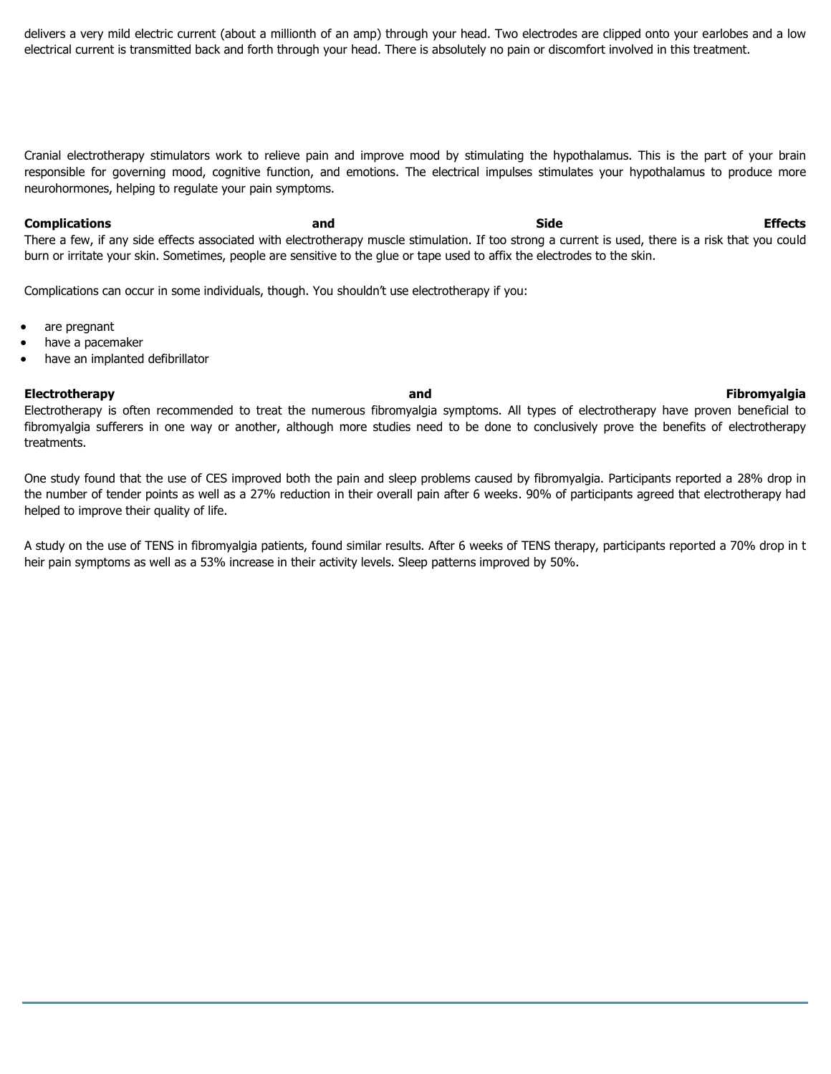delivers a very mild electric current (about a millionth of an amp) through your head. Two electrodes are clipped onto your earlobes and a low electrical current is transmitted back and forth through your head. There is absolutely no pain or discomfort involved in this treatment.

Cranial electrotherapy stimulators work to relieve pain and improve mood by stimulating the hypothalamus. This is the part of your brain responsible for governing mood, cognitive function, and emotions. The electrical impulses stimulates your hypothalamus to produce more neurohormones, helping to regulate your pain symptoms.

**Complications and Side Effects** There a few, if any side effects associated with electrotherapy muscle stimulation. If too strong a current is used, there is a risk that you could burn or irritate your skin. Sometimes, people are sensitive to the glue or tape used to affix the electrodes to the skin.

Complications can occur in some individuals, though. You shouldn't use electrotherapy if you:

- are pregnant
- have a pacemaker
- have an implanted defibrillator

#### **Electrotherapy and Fibromyalgia**

Electrotherapy is often recommended to treat the numerous fibromyalgia symptoms. All types of electrotherapy have proven beneficial to fibromyalgia sufferers in one way or another, although more studies need to be done to conclusively prove the benefits of electrotherapy treatments.

One study found that the use of CES improved both the pain and sleep problems caused by fibromyalgia. Participants reported a 28% drop in the number of tender points as well as a 27% reduction in their overall pain after 6 weeks. 90% of participants agreed that electrotherapy had helped to improve their quality of life.

A study on the use of TENS in fibromyalgia patients, found similar results. After 6 weeks of TENS therapy, participants reported a 70% drop in t heir pain symptoms as well as a 53% increase in their activity levels. Sleep patterns improved by 50%.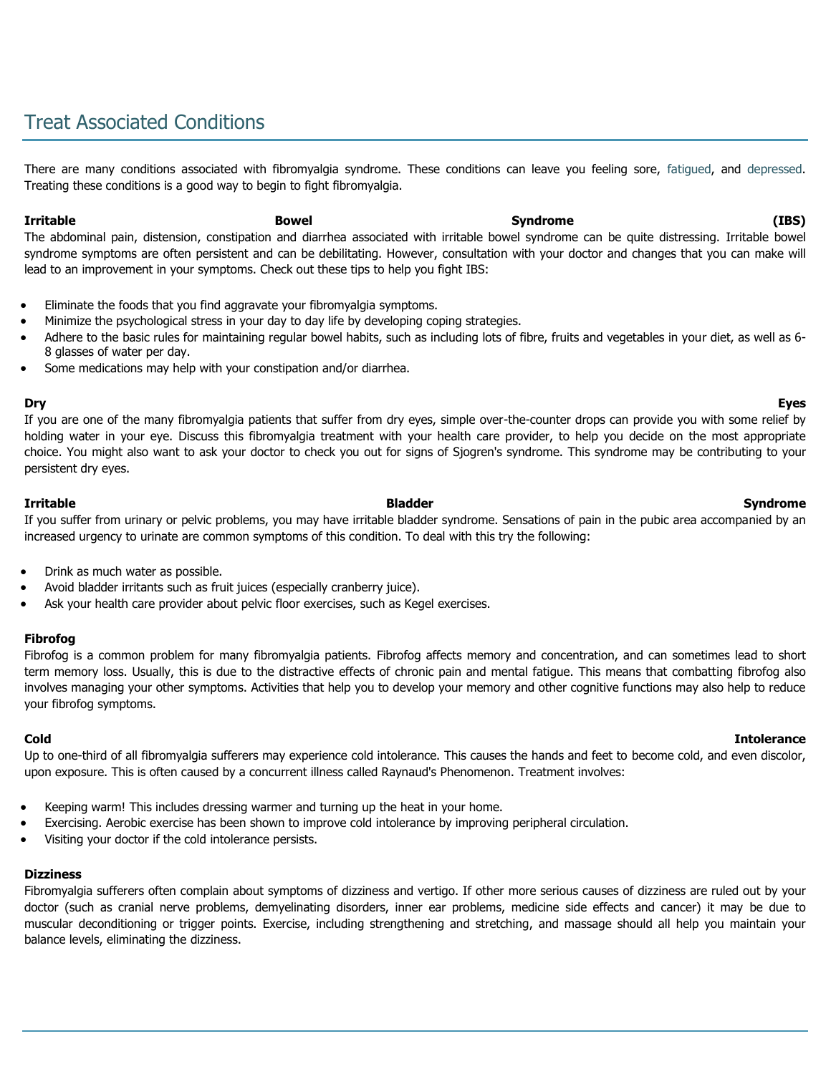# Treat Associated Conditions

There are many conditions associated with fibromyalgia syndrome. These conditions can leave you feeling sore, [fatigued,](http://www.fibromyalgia-symptoms.org/fibromyalgia_fatigue.html) and [depressed.](http://www.fibromyalgia-symptoms.org/fibromyalgia_depression.html) Treating these conditions is a good way to begin to fight fibromyalgia.

#### **Irritable Bowel Syndrome (IBS)**

The abdominal pain, distension, constipation and diarrhea associated with irritable bowel syndrome can be quite distressing. Irritable bowel syndrome symptoms are often persistent and can be debilitating. However, consultation with your doctor and changes that you can make will lead to an improvement in your symptoms. Check out these tips to help you fight IBS:

- Eliminate the foods that you find aggravate your fibromyalgia symptoms.
- Minimize the psychological stress in your day to day life by developing coping strategies.
- Adhere to the basic rules for maintaining regular bowel habits, such as including lots of fibre, fruits and vegetables in your diet, as well as 6- 8 glasses of water per day.
- Some medications may help with your constipation and/or diarrhea.

If you are one of the many fibromyalgia patients that suffer from dry eyes, simple over-the-counter drops can provide you with some relief by holding water in your eye. Discuss this fibromyalgia treatment with your health care provider, to help you decide on the most appropriate choice. You might also want to ask your doctor to check you out for signs of Sjogren's syndrome. This syndrome may be contributing to your persistent dry eyes.

**Irritable Bladder Syndrome** If you suffer from urinary or pelvic problems, you may have irritable bladder syndrome. Sensations of pain in the pubic area accompanied by an increased urgency to urinate are common symptoms of this condition. To deal with this try the following:

- Drink as much water as possible.
- Avoid bladder irritants such as fruit juices (especially cranberry juice).
- Ask your health care provider about pelvic floor exercises, such as Kegel exercises.

#### **Fibrofog**

Fibrofog is a common problem for many fibromyalgia patients. Fibrofog affects memory and concentration, and can sometimes lead to short term memory loss. Usually, this is due to the distractive effects of chronic pain and mental fatigue. This means that combatting fibrofog also involves managing your other symptoms. Activities that help you to develop your memory and other cognitive functions may also help to reduce your fibrofog symptoms.

### **Cold Intolerance**

Up to one-third of all fibromyalgia sufferers may experience cold intolerance. This causes the hands and feet to become cold, and even discolor, upon exposure. This is often caused by a concurrent illness called Raynaud's Phenomenon. Treatment involves:

- Keeping warm! This includes dressing warmer and turning up the heat in your home.
- Exercising. Aerobic exercise has been shown to improve cold intolerance by improving peripheral circulation.
- Visiting your doctor if the cold intolerance persists.

#### **Dizziness**

Fibromyalgia sufferers often complain about symptoms of dizziness and vertigo. If other more serious causes of dizziness are ruled out by your doctor (such as cranial nerve problems, demyelinating disorders, inner ear problems, medicine side effects and cancer) it may be due to muscular deconditioning or trigger points. Exercise, including strengthening and stretching, and massage should all help you maintain your balance levels, eliminating the dizziness.

#### **Dry Eyes**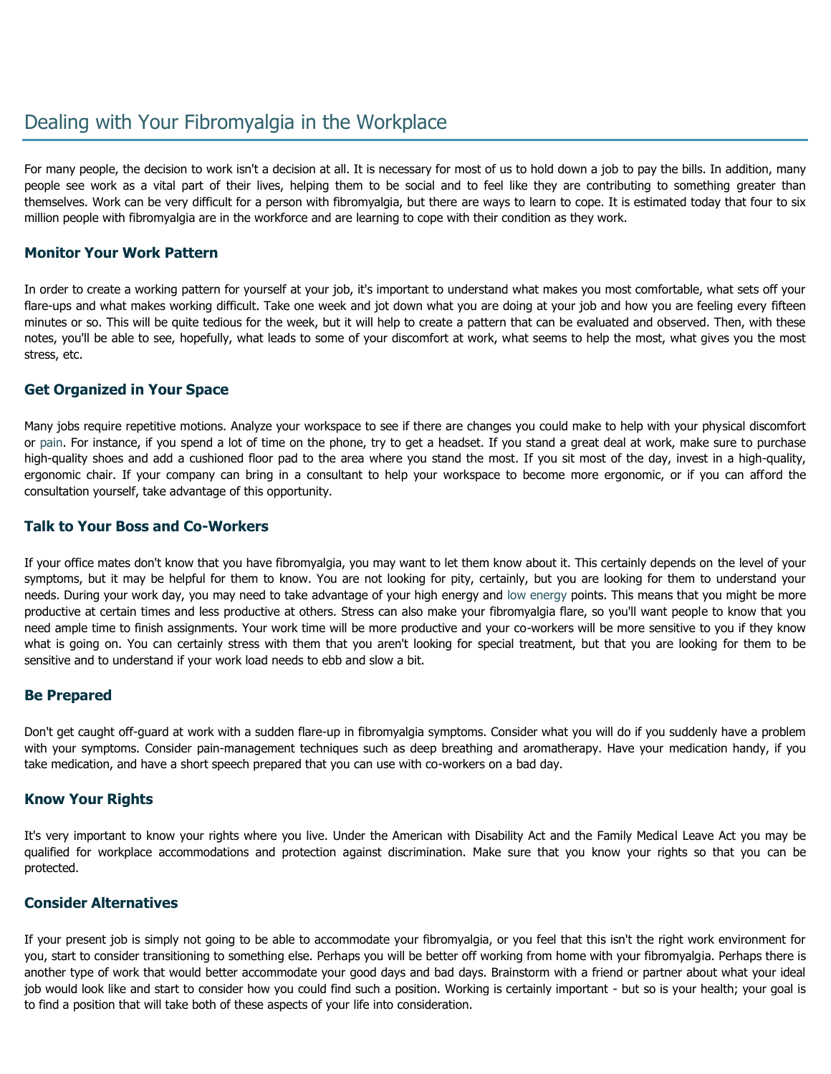# Dealing with Your Fibromyalgia in the Workplace

For many people, the decision to work isn't a decision at all. It is necessary for most of us to hold down a job to pay the bills. In addition, many people see work as a vital part of their lives, helping them to be social and to feel like they are contributing to something greater than themselves. Work can be very difficult for a person with fibromyalgia, but there are ways to learn to cope. It is estimated today that four to six million people with fibromyalgia are in the workforce and are learning to cope with their condition as they work.

### **Monitor Your Work Pattern**

In order to create a working pattern for yourself at your job, it's important to understand what makes you most comfortable, what sets off your flare-ups and what makes working difficult. Take one week and jot down what you are doing at your job and how you are feeling every fifteen minutes or so. This will be quite tedious for the week, but it will help to create a pattern that can be evaluated and observed. Then, with these notes, you'll be able to see, hopefully, what leads to some of your discomfort at work, what seems to help the most, what gives you the most stress, etc.

### **Get Organized in Your Space**

Many jobs require repetitive motions. Analyze your workspace to see if there are changes you could make to help with your physical discomfort or [pain.](http://www.fibromyalgia-symptoms.org/fibromyalgia_morning_stiffness.html) For instance, if you spend a lot of time on the phone, try to get a headset. If you stand a great deal at work, make sure to purchase high-quality shoes and add a cushioned floor pad to the area where you stand the most. If you sit most of the day, invest in a high-quality, ergonomic chair. If your company can bring in a consultant to help your workspace to become more ergonomic, or if you can afford the consultation yourself, take advantage of this opportunity.

### **Talk to Your Boss and Co-Workers**

If your office mates don't know that you have fibromyalgia, you may want to let them know about it. This certainly depends on the level of your symptoms, but it may be helpful for them to know. You are not looking for pity, certainly, but you are looking for them to understand your needs. During your work day, you may need to take advantage of your high energy and [low energy](http://www.fibromyalgia-symptoms.org/fibromyalgia_fatigue.html) points. This means that you might be more productive at certain times and less productive at others. Stress can also make your fibromyalgia flare, so you'll want people to know that you need ample time to finish assignments. Your work time will be more productive and your co-workers will be more sensitive to you if they know what is going on. You can certainly stress with them that you aren't looking for special treatment, but that you are looking for them to be sensitive and to understand if your work load needs to ebb and slow a bit.

### **Be Prepared**

Don't get caught off-guard at work with a sudden flare-up in fibromyalgia symptoms. Consider what you will do if you suddenly have a problem with your symptoms. Consider pain-management techniques such as deep breathing and aromatherapy. Have your medication handy, if you take medication, and have a short speech prepared that you can use with co-workers on a bad day.

### **Know Your Rights**

It's very important to know your rights where you live. Under the American with Disability Act and the Family Medical Leave Act you may be qualified for workplace accommodations and protection against discrimination. Make sure that you know your rights so that you can be protected.

### **Consider Alternatives**

If your present job is simply not going to be able to accommodate your fibromyalgia, or you feel that this isn't the right work environment for you, start to consider transitioning to something else. Perhaps you will be better off working from home with your fibromyalgia. Perhaps there is another type of work that would better accommodate your good days and bad days. Brainstorm with a friend or partner about what your ideal job would look like and start to consider how you could find such a position. Working is certainly important - but so is your health; your goal is to find a position that will take both of these aspects of your life into consideration.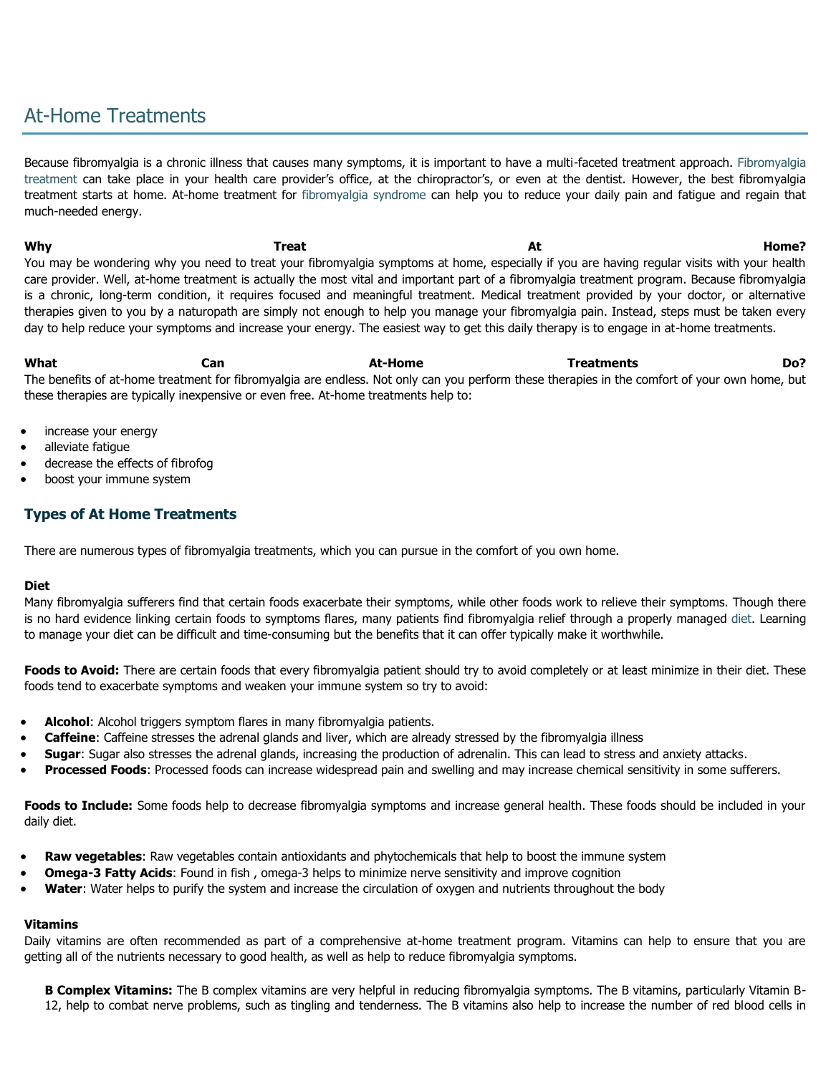# At-Home Treatments

Because fibromyalgia is a chronic illness that causes many symptoms, it is important to have a multi-faceted treatment approach. [Fibromyalgia](http://www.fibromyalgia-symptoms.org/fibromyalgia_medications.html)  [treatment](http://www.fibromyalgia-symptoms.org/fibromyalgia_medications.html) can take place in your health care provider's office, at the chiropractor's, or even at the dentist. However, the best fibromyalgia treatment starts at home. At-home treatment for [fibromyalgia syndrome](http://www.fibromyalgia-symptoms.org/fibromyalgia_syndrome.html) can help you to reduce your daily pain and fatigue and regain that much-needed energy.

why the second of the **Treat and Treat and At the Second At Home**? You may be wondering why you need to treat your fibromyalgia symptoms at home, especially if you are having regular visits with your health care provider. Well, at-home treatment is actually the most vital and important part of a fibromyalgia treatment program. Because fibromyalgia is a chronic, long-term condition, it requires focused and meaningful treatment. Medical treatment provided by your doctor, or alternative therapies given to you by a naturopath are simply not enough to help you manage your fibromyalgia pain. Instead, steps must be taken every day to help reduce your symptoms and increase your energy. The easiest way to get this daily therapy is to engage in at-home treatments.

**What Can At-Home Treatments Do?** The benefits of at-home treatment for fibromyalgia are endless. Not only can you perform these therapies in the comfort of your own home, but these therapies are typically inexpensive or even free. At-home treatments help to:

- increase your energy
- alleviate fatigue
- decrease the effects of fibrofog
- boost your immune system

## **Types of At Home Treatments**

There are numerous types of fibromyalgia treatments, which you can pursue in the comfort of you own home.

#### **Diet**

Many fibromyalgia sufferers find that certain foods exacerbate their symptoms, while other foods work to relieve their symptoms. Though there is no hard evidence linking certain foods to symptoms flares, many patients find fibromyalgia relief through a properly managed [diet.](http://www.fibromyalgia-symptoms.org/fibromyalgia_eat_healthier.html) Learning to manage your diet can be difficult and time-consuming but the benefits that it can offer typically make it worthwhile.

**Foods to Avoid:** There are certain foods that every fibromyalgia patient should try to avoid completely or at least minimize in their diet. These foods tend to exacerbate symptoms and weaken your immune system so try to avoid:

- **Alcohol**: Alcohol triggers symptom flares in many fibromyalgia patients.
- **Caffeine**: Caffeine stresses the adrenal glands and liver, which are already stressed by the fibromyalgia illness
- **Sugar**: Sugar also stresses the adrenal glands, increasing the production of adrenalin. This can lead to stress and anxiety attacks.
- **Processed Foods**: Processed foods can increase widespread pain and swelling and may increase chemical sensitivity in some sufferers.

**Foods to Include:** Some foods help to decrease fibromyalgia symptoms and increase general health. These foods should be included in your daily diet.

- **Raw vegetables**: Raw vegetables contain antioxidants and phytochemicals that help to boost the immune system
- **Omega-3 Fatty Acids**: Found in fish , omega-3 helps to minimize nerve sensitivity and improve cognition
- **Water**: Water helps to purify the system and increase the circulation of oxygen and nutrients throughout the body

### **Vitamins**

Daily vitamins are often recommended as part of a comprehensive at-home treatment program. Vitamins can help to ensure that you are getting all of the nutrients necessary to good health, as well as help to reduce fibromyalgia symptoms.

**B Complex Vitamins:** The B complex vitamins are very helpful in reducing fibromyalgia symptoms. The B vitamins, particularly Vitamin B-12, help to combat nerve problems, such as tingling and tenderness. The B vitamins also help to increase the number of red blood cells in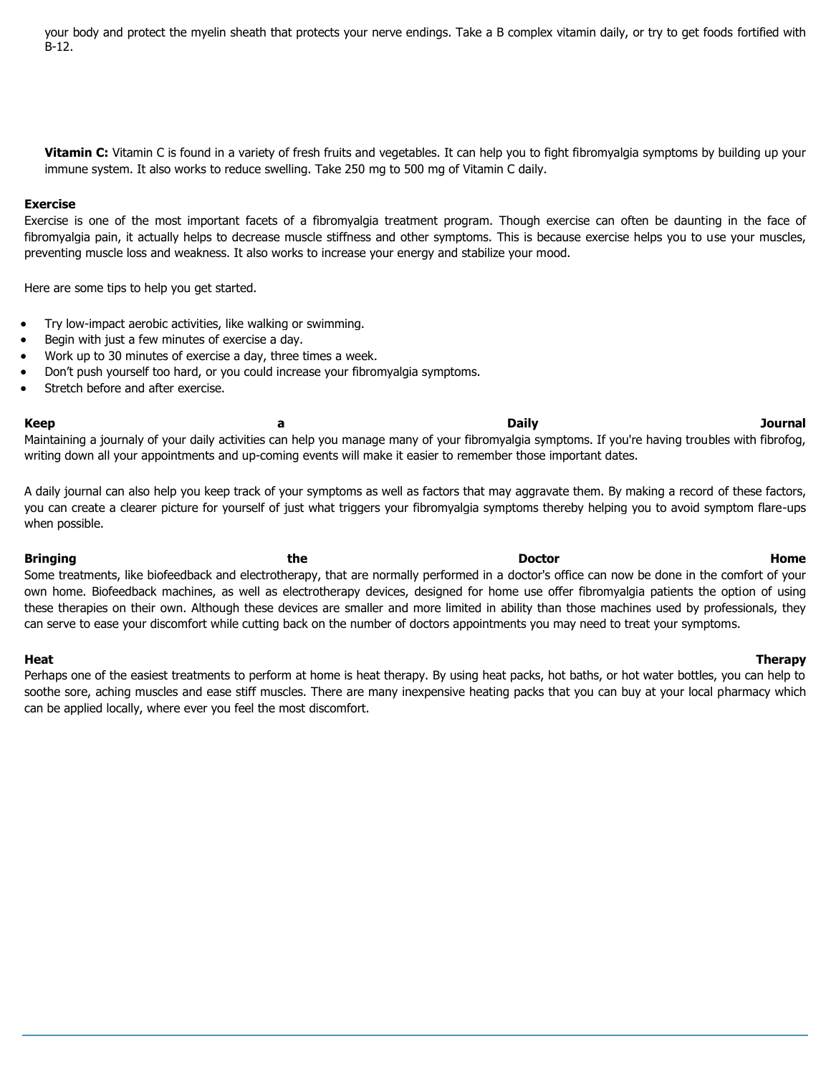your body and protect the myelin sheath that protects your nerve endings. Take a B complex vitamin daily, or try to get foods fortified with B-12.

**Vitamin C:** Vitamin C is found in a variety of fresh fruits and vegetables. It can help you to fight fibromyalgia symptoms by building up your immune system. It also works to reduce swelling. Take 250 mg to 500 mg of Vitamin C daily.

#### **Exercise**

Exercise is one of the most important facets of a fibromyalgia treatment program. Though exercise can often be daunting in the face of fibromyalgia pain, it actually helps to decrease muscle stiffness and other symptoms. This is because exercise helps you to use your muscles, preventing muscle loss and weakness. It also works to increase your energy and stabilize your mood.

Here are some tips to help you get started.

- Try low-impact aerobic activities, like walking or swimming.
- Begin with just a few minutes of exercise a day.
- Work up to 30 minutes of exercise a day, three times a week.
- Don't push yourself too hard, or you could increase your fibromyalgia symptoms.
- Stretch before and after exercise.

Maintaining a journaly of your daily activities can help you manage many of your fibromyalgia symptoms. If you're having troubles with fibrofog, writing down all your appointments and up-coming events will make it easier to remember those important dates.

A daily journal can also help you keep track of your symptoms as well as factors that may aggravate them. By making a record of these factors, you can create a clearer picture for yourself of just what triggers your fibromyalgia symptoms thereby helping you to avoid symptom flare-ups when possible.

Bringing the **Bringing of the Doctor Home** Some treatments, like biofeedback and electrotherapy, that are normally performed in a doctor's office can now be done in the comfort of your own home. Biofeedback machines, as well as electrotherapy devices, designed for home use offer fibromyalgia patients the option of using these therapies on their own. Although these devices are smaller and more limited in ability than those machines used by professionals, they can serve to ease your discomfort while cutting back on the number of doctors appointments you may need to treat your symptoms.

Perhaps one of the easiest treatments to perform at home is heat therapy. By using heat packs, hot baths, or hot water bottles, you can help to soothe sore, aching muscles and ease stiff muscles. There are many inexpensive heating packs that you can buy at your local pharmacy which can be applied locally, where ever you feel the most discomfort.

### **Heat Therapy**

## **Keep a Daily Journal**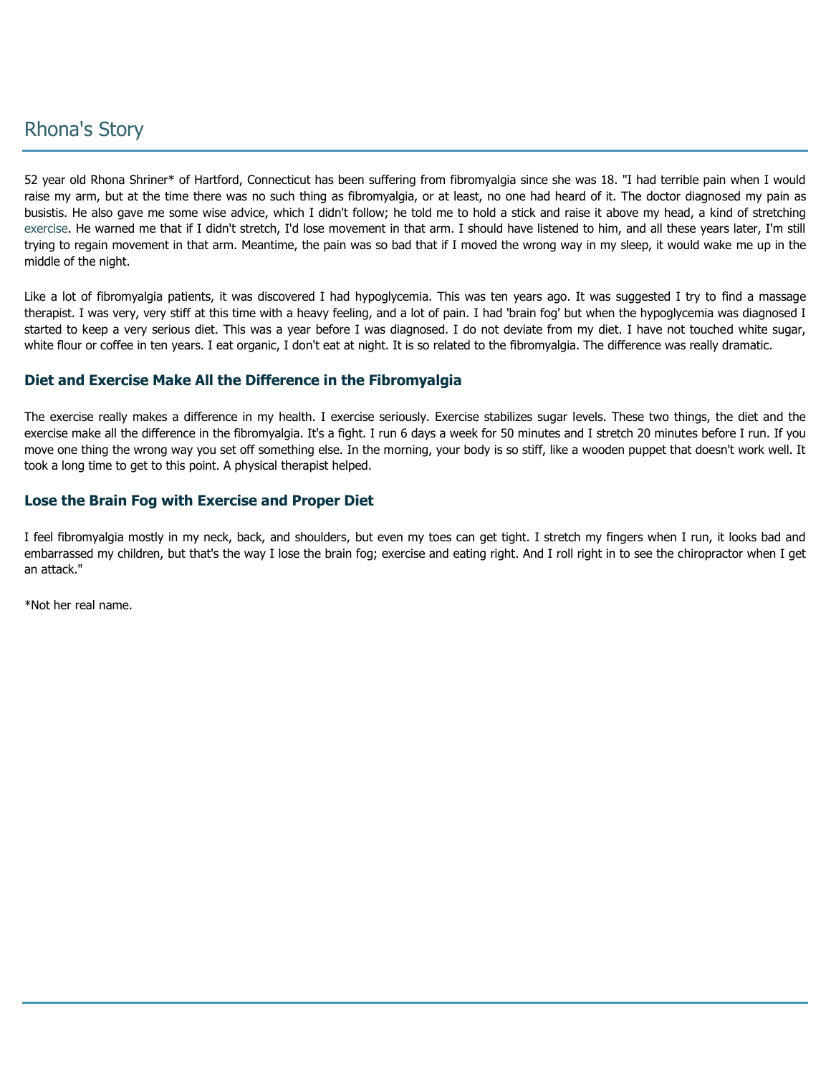# Rhona's Story

52 year old Rhona Shriner\* of Hartford, Connecticut has been suffering from fibromyalgia since she was 18. "I had terrible pain when I would raise my arm, but at the time there was no such thing as fibromyalgia, or at least, no one had heard of it. The doctor diagnosed my pain as busistis. He also gave me some wise advice, which I didn't follow; he told me to hold a stick and raise it above my head, a kind of stretching [exercise.](http://www.fibromyalgia-symptoms.org/fibromyalgia_exercise.html) He warned me that if I didn't stretch, I'd lose movement in that arm. I should have listened to him, and all these years later, I'm still trying to regain movement in that arm. Meantime, the pain was so bad that if I moved the wrong way in my sleep, it would wake me up in the middle of the night.

Like a lot of fibromyalgia patients, it was discovered I had hypoglycemia. This was ten years ago. It was suggested I try to find a massage therapist. I was very, very stiff at this time with a heavy feeling, and a lot of pain. I had 'brain fog' but when the hypoglycemia was diagnosed I started to keep a very serious diet. This was a year before I was diagnosed. I do not deviate from my diet. I have not touched white sugar, white flour or coffee in ten years. I eat organic, I don't eat at night. It is so related to the fibromyalgia. The difference was really dramatic.

## **Diet and Exercise Make All the Difference in the Fibromyalgia**

The exercise really makes a difference in my health. I exercise seriously. Exercise stabilizes sugar levels. These two things, the diet and the exercise make all the difference in the fibromyalgia. It's a fight. I run 6 days a week for 50 minutes and I stretch 20 minutes before I run. If you move one thing the wrong way you set off something else. In the morning, your body is so stiff, like a wooden puppet that doesn't work well. It took a long time to get to this point. A physical therapist helped.

## **Lose the Brain Fog with Exercise and Proper Diet**

I feel fibromyalgia mostly in my neck, back, and shoulders, but even my toes can get tight. I stretch my fingers when I run, it looks bad and embarrassed my children, but that's the way I lose the brain fog; exercise and eating right. And I roll right in to see the chiropractor when I get an attack."

\*Not her real name.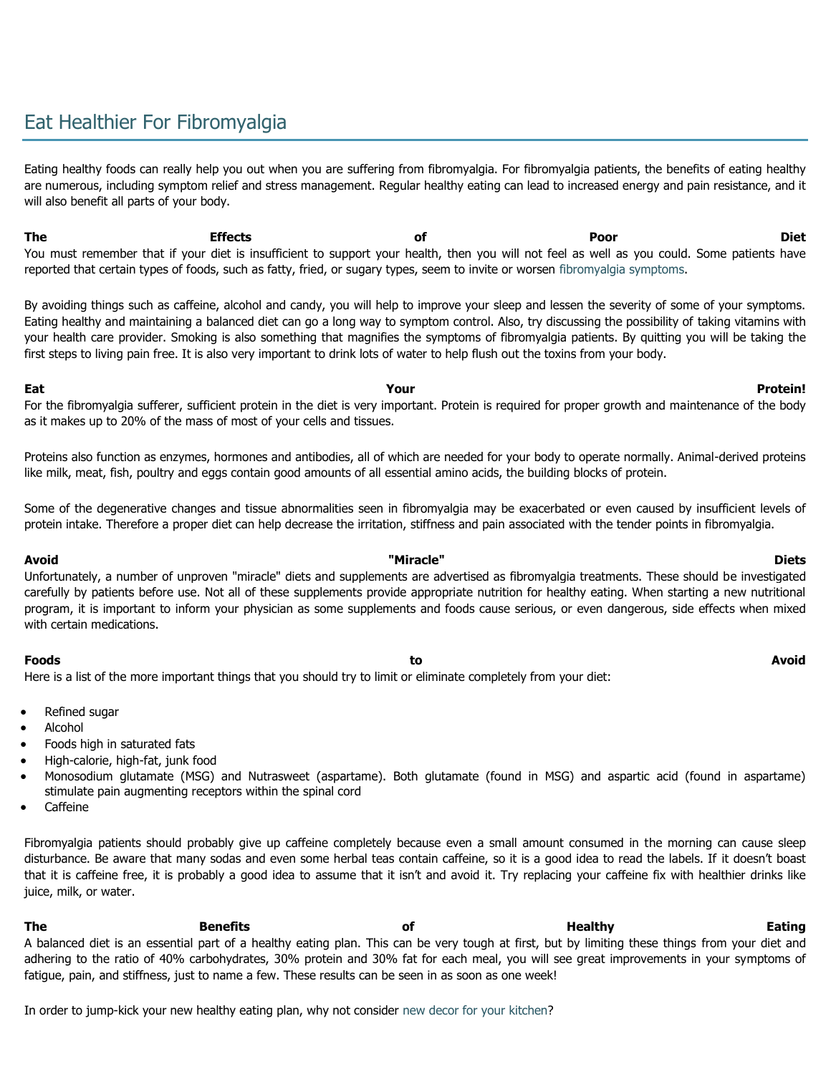# Eat Healthier For Fibromyalgia

Eating healthy foods can really help you out when you are suffering from fibromyalgia. For fibromyalgia patients, the benefits of eating healthy are numerous, including symptom relief and stress management. Regular healthy eating can lead to increased energy and pain resistance, and it will also benefit all parts of your body.

**The Effects of Poor Diet** You must remember that if your diet is insufficient to support your health, then you will not feel as well as you could. Some patients have reported that certain types of foods, such as fatty, fried, or sugary types, seem to invite or worsen [fibromyalgia symptoms.](http://www.fibromyalgia-symptoms.org/fibromyalgia_treatment.html)

By avoiding things such as caffeine, alcohol and candy, you will help to improve your sleep and lessen the severity of some of your symptoms. Eating healthy and maintaining a balanced diet can go a long way to symptom control. Also, try discussing the possibility of taking vitamins with your health care provider. Smoking is also something that magnifies the symptoms of fibromyalgia patients. By quitting you will be taking the first steps to living pain free. It is also very important to drink lots of water to help flush out the toxins from your body.

For the fibromyalgia sufferer, sufficient protein in the diet is very important. Protein is required for proper growth and maintenance of the body as it makes up to 20% of the mass of most of your cells and tissues.

Proteins also function as enzymes, hormones and antibodies, all of which are needed for your body to operate normally. Animal-derived proteins like milk, meat, fish, poultry and eggs contain good amounts of all essential amino acids, the building blocks of protein.

Some of the degenerative changes and tissue abnormalities seen in fibromyalgia may be exacerbated or even caused by insufficient levels of protein intake. Therefore a proper diet can help decrease the irritation, stiffness and pain associated with the tender points in fibromyalgia.

Unfortunately, a number of unproven "miracle" diets and supplements are advertised as fibromyalgia treatments. These should be investigated carefully by patients before use. Not all of these supplements provide appropriate nutrition for healthy eating. When starting a new nutritional program, it is important to inform your physician as some supplements and foods cause serious, or even dangerous, side effects when mixed with certain medications.

### **Foods to Avoid**

Here is a list of the more important things that you should try to limit or eliminate completely from your diet:

- Refined sugar
- Alcohol
- Foods high in saturated fats
- High-calorie, high-fat, junk food
- Monosodium glutamate (MSG) and Nutrasweet (aspartame). Both glutamate (found in MSG) and aspartic acid (found in aspartame) stimulate pain augmenting receptors within the spinal cord
- **Caffeine**

Fibromyalgia patients should probably give up caffeine completely because even a small amount consumed in the morning can cause sleep disturbance. Be aware that many sodas and even some herbal teas contain caffeine, so it is a good idea to read the labels. If it doesn't boast that it is caffeine free, it is probably a good idea to assume that it isn't and avoid it. Try replacing your caffeine fix with healthier drinks like juice, milk, or water.

**The Benefits of Healthy Eating** A balanced diet is an essential part of a healthy eating plan. This can be very tough at first, but by limiting these things from your diet and adhering to the ratio of 40% carbohydrates, 30% protein and 30% fat for each meal, you will see great improvements in your symptoms of fatigue, pain, and stiffness, just to name a few. These results can be seen in as soon as one week!

In order to jump-kick your new healthy eating plan, why not consider [new decor for your kitchen?](http://www.decorsecrets.com/kitchendecor.shtml)

#### **Avoid "Miracle" Diets**

### **Eat Your Protein!**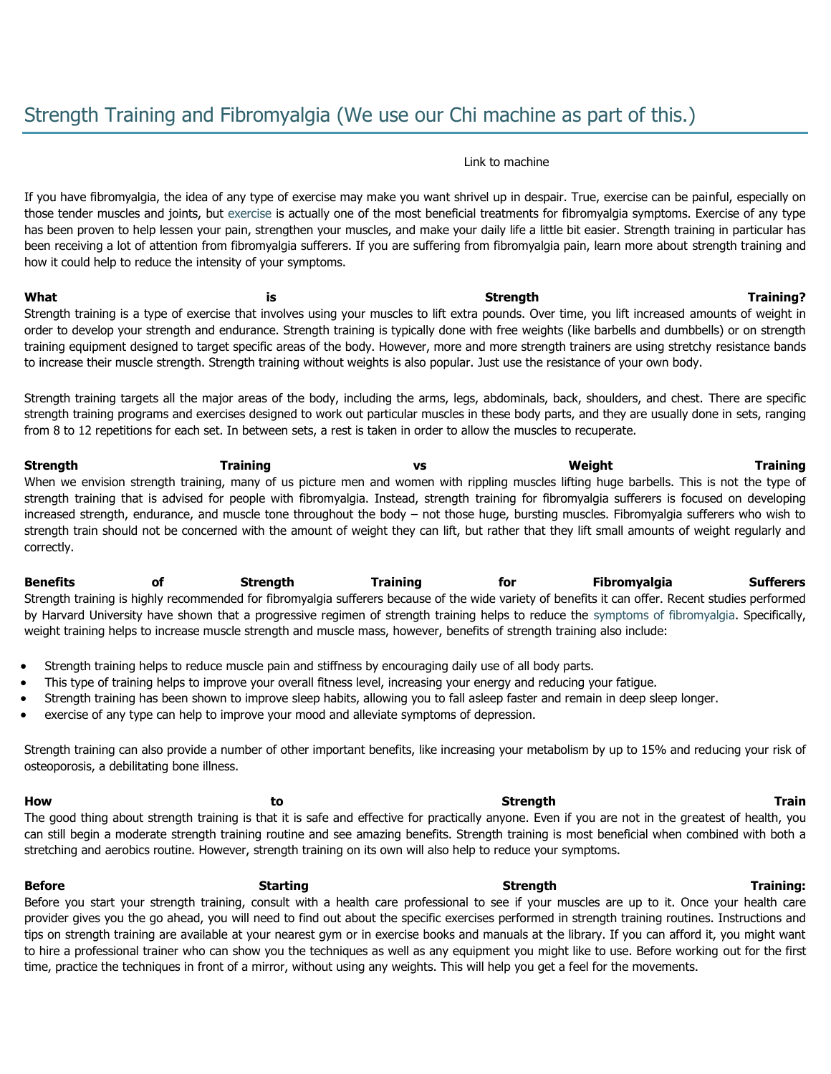#### Link to machine

If you have fibromyalgia, the idea of any type of exercise may make you want shrivel up in despair. True, exercise can be painful, especially on those tender muscles and joints, but [exercise](http://www.fibromyalgia-symptoms.org/fibromyalgia_exercise.html) is actually one of the most beneficial treatments for fibromyalgia symptoms. Exercise of any type has been proven to help lessen your pain, strengthen your muscles, and make your daily life a little bit easier. Strength training in particular has been receiving a lot of attention from fibromyalgia sufferers. If you are suffering from fibromyalgia pain, learn more about strength training and how it could help to reduce the intensity of your symptoms.

**What is Strength Training?** Strength training is a type of exercise that involves using your muscles to lift extra pounds. Over time, you lift increased amounts of weight in order to develop your strength and endurance. Strength training is typically done with free weights (like barbells and dumbbells) or on strength training equipment designed to target specific areas of the body. However, more and more strength trainers are using stretchy resistance bands to increase their muscle strength. Strength training without weights is also popular. Just use the resistance of your own body.

Strength training targets all the major areas of the body, including the arms, legs, abdominals, back, shoulders, and chest. There are specific strength training programs and exercises designed to work out particular muscles in these body parts, and they are usually done in sets, ranging from 8 to 12 repetitions for each set. In between sets, a rest is taken in order to allow the muscles to recuperate.

**Strength Training vs Weight Training** When we envision strength training, many of us picture men and women with rippling muscles lifting huge barbells. This is not the type of strength training that is advised for people with fibromyalgia. Instead, strength training for fibromyalgia sufferers is focused on developing increased strength, endurance, and muscle tone throughout the body – not those huge, bursting muscles. Fibromyalgia sufferers who wish to strength train should not be concerned with the amount of weight they can lift, but rather that they lift small amounts of weight regularly and correctly.

**Benefits of Strength Training for Fibromyalgia Sufferers** Strength training is highly recommended for fibromyalgia sufferers because of the wide variety of benefits it can offer. Recent studies performed by Harvard University have shown that a progressive regimen of strength training helps to reduce the [symptoms of fibromyalgia.](http://www.fibromyalgia-symptoms.org/fibromyalgia_treatment.html) Specifically, weight training helps to increase muscle strength and muscle mass, however, benefits of strength training also include:

- Strength training helps to reduce muscle pain and stiffness by encouraging daily use of all body parts.
- This type of training helps to improve your overall fitness level, increasing your energy and reducing your fatigue.
- Strength training has been shown to improve sleep habits, allowing you to fall asleep faster and remain in deep sleep longer.
- exercise of any type can help to improve your mood and alleviate symptoms of depression.

Strength training can also provide a number of other important benefits, like increasing your metabolism by up to 15% and reducing your risk of osteoporosis, a debilitating bone illness.

**How to Strength Train** The good thing about strength training is that it is safe and effective for practically anyone. Even if you are not in the greatest of health, you can still begin a moderate strength training routine and see amazing benefits. Strength training is most beneficial when combined with both a stretching and aerobics routine. However, strength training on its own will also help to reduce your symptoms.

**Before Starting Strength Training:** Before you start your strength training, consult with a health care professional to see if your muscles are up to it. Once your health care provider gives you the go ahead, you will need to find out about the specific exercises performed in strength training routines. Instructions and tips on strength training are available at your nearest gym or in exercise books and manuals at the library. If you can afford it, you might want to hire a professional trainer who can show you the techniques as well as any equipment you might like to use. Before working out for the first time, practice the techniques in front of a mirror, without using any weights. This will help you get a feel for the movements.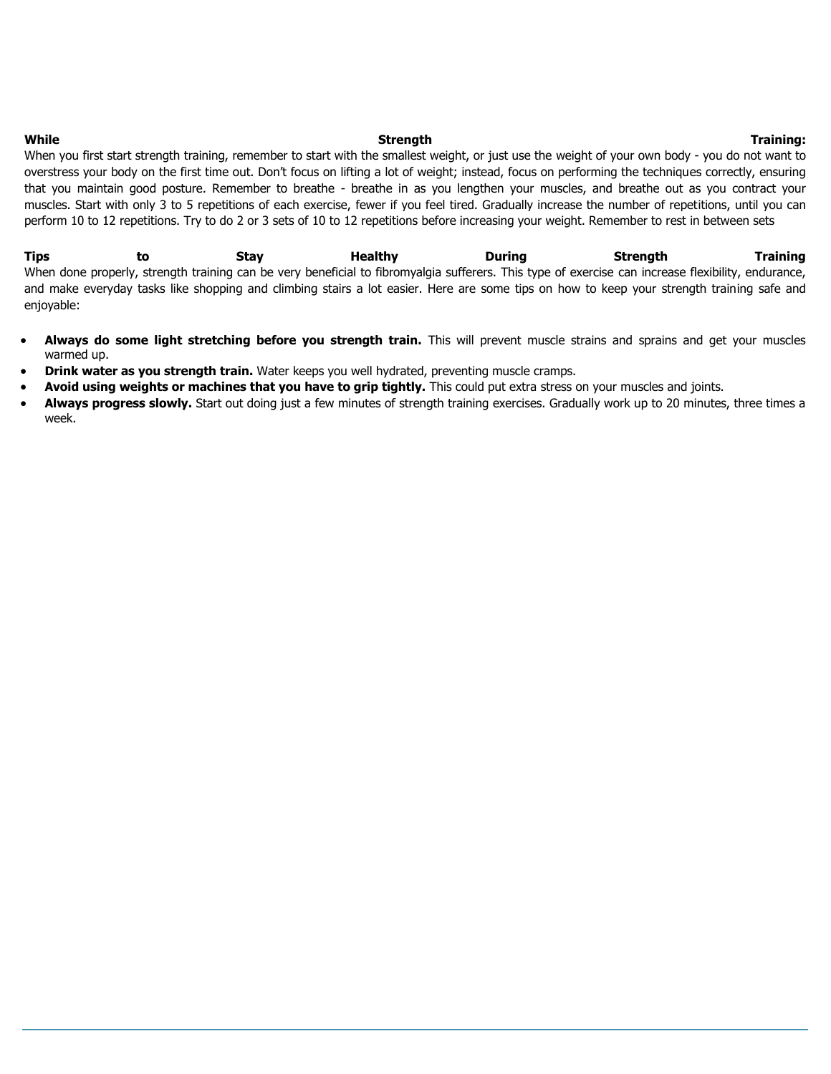#### **While Strength Training:**

When you first start strength training, remember to start with the smallest weight, or just use the weight of your own body - you do not want to overstress your body on the first time out. Don't focus on lifting a lot of weight; instead, focus on performing the techniques correctly, ensuring that you maintain good posture. Remember to breathe - breathe in as you lengthen your muscles, and breathe out as you contract your muscles. Start with only 3 to 5 repetitions of each exercise, fewer if you feel tired. Gradually increase the number of repetitions, until you can perform 10 to 12 repetitions. Try to do 2 or 3 sets of 10 to 12 repetitions before increasing your weight. Remember to rest in between sets

**Tips to Stay Healthy During Strength Training** When done properly, strength training can be very beneficial to fibromyalgia sufferers. This type of exercise can increase flexibility, endurance, and make everyday tasks like shopping and climbing stairs a lot easier. Here are some tips on how to keep your strength training safe and enjoyable:

- **Always do some light stretching before you strength train.** This will prevent muscle strains and sprains and get your muscles warmed up.
- **Drink water as you strength train.** Water keeps you well hydrated, preventing muscle cramps.
- **Avoid using weights or machines that you have to grip tightly.** This could put extra stress on your muscles and joints.
- Always progress slowly. Start out doing just a few minutes of strength training exercises. Gradually work up to 20 minutes, three times a week.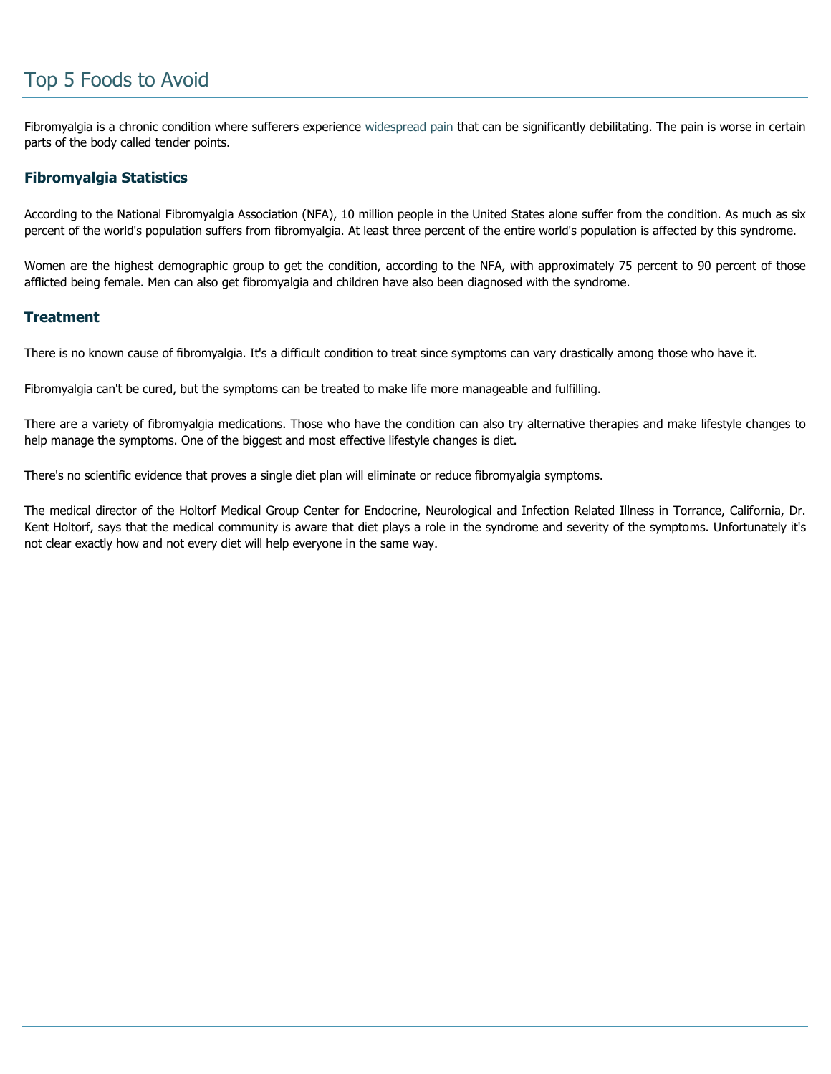# Top 5 Foods to Avoid

Fibromyalgia is a chronic condition where sufferers experience [widespread pain](http://www.fibromyalgia-symptoms.org/fibromyalgia_widespread_pain.html) that can be significantly debilitating. The pain is worse in certain parts of the body called tender points.

### **Fibromyalgia Statistics**

According to the National Fibromyalgia Association (NFA), 10 million people in the United States alone suffer from the condition. As much as six percent of the world's population suffers from fibromyalgia. At least three percent of the entire world's population is affected by this syndrome.

Women are the highest demographic group to get the condition, according to the NFA, with approximately 75 percent to 90 percent of those afflicted being female. Men can also get fibromyalgia and children have also been diagnosed with the syndrome.

### **Treatment**

There is no known cause of fibromyalgia. It's a difficult condition to treat since symptoms can vary drastically among those who have it.

Fibromyalgia can't be cured, but the symptoms can be treated to make life more manageable and fulfilling.

There are a variety of fibromyalgia medications. Those who have the condition can also try alternative therapies and make lifestyle changes to help manage the symptoms. One of the biggest and most effective lifestyle changes is diet.

There's no scientific evidence that proves a single diet plan will eliminate or reduce fibromyalgia symptoms.

The medical director of the Holtorf Medical Group Center for Endocrine, Neurological and Infection Related Illness in Torrance, California, Dr. Kent Holtorf, says that the medical community is aware that diet plays a role in the syndrome and severity of the symptoms. Unfortunately it's not clear exactly how and not every diet will help everyone in the same way.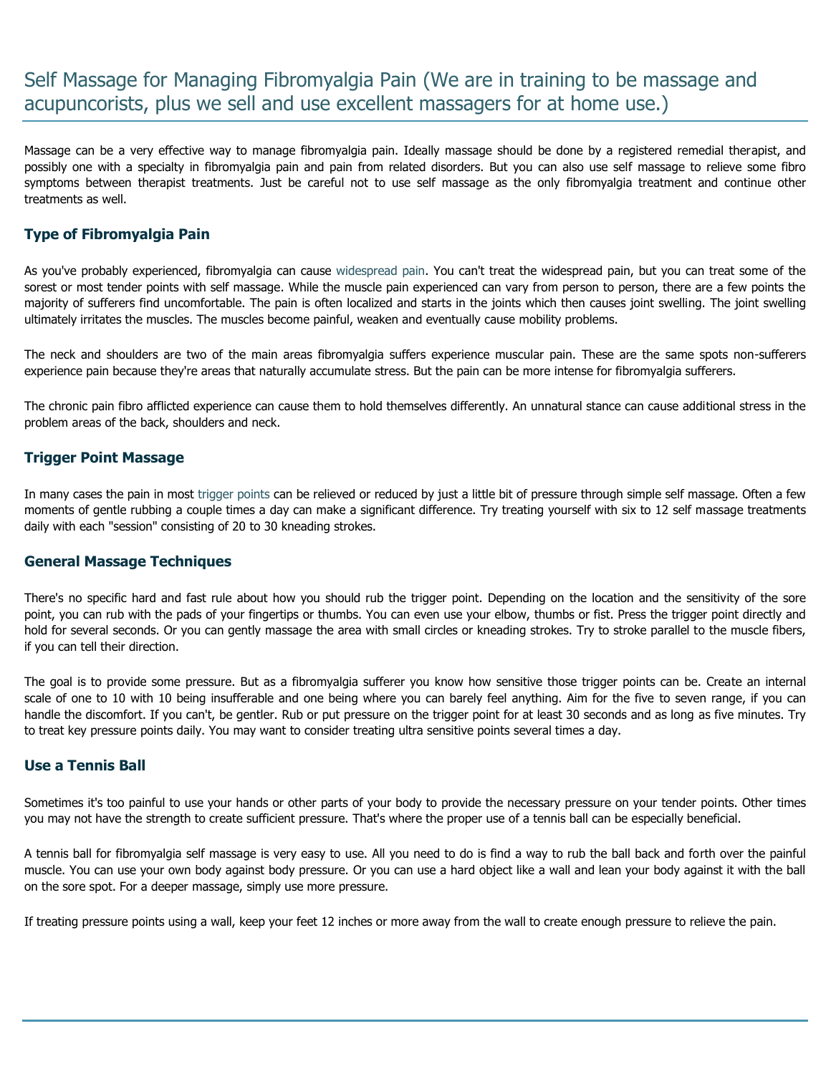# Self Massage for Managing Fibromyalgia Pain (We are in training to be massage and acupuncorists, plus we sell and use excellent massagers for at home use.)

Massage can be a very effective way to manage fibromyalgia pain. Ideally massage should be done by a registered remedial therapist, and possibly one with a specialty in fibromyalgia pain and pain from related disorders. But you can also use self massage to relieve some fibro symptoms between therapist treatments. Just be careful not to use self massage as the only fibromyalgia treatment and continue other treatments as well.

## **Type of Fibromyalgia Pain**

As you've probably experienced, fibromyalgia can cause [widespread pain.](http://www.fibromyalgia-symptoms.org/fibromyalgia_widespread_pain.html) You can't treat the widespread pain, but you can treat some of the sorest or most tender points with self massage. While the muscle pain experienced can vary from person to person, there are a few points the majority of sufferers find uncomfortable. The pain is often localized and starts in the joints which then causes joint swelling. The joint swelling ultimately irritates the muscles. The muscles become painful, weaken and eventually cause mobility problems.

The neck and shoulders are two of the main areas fibromyalgia suffers experience muscular pain. These are the same spots non-sufferers experience pain because they're areas that naturally accumulate stress. But the pain can be more intense for fibromyalgia sufferers.

The chronic pain fibro afflicted experience can cause them to hold themselves differently. An unnatural stance can cause additional stress in the problem areas of the back, shoulders and neck.

### **Trigger Point Massage**

In many cases the pain in most [trigger points](http://www.fibromyalgia-symptoms.org/fibromyalgia_injections.html) can be relieved or reduced by just a little bit of pressure through simple self massage. Often a few moments of gentle rubbing a couple times a day can make a significant difference. Try treating yourself with six to 12 self massage treatments daily with each "session" consisting of 20 to 30 kneading strokes.

### **General Massage Techniques**

There's no specific hard and fast rule about how you should rub the trigger point. Depending on the location and the sensitivity of the sore point, you can rub with the pads of your fingertips or thumbs. You can even use your elbow, thumbs or fist. Press the trigger point directly and hold for several seconds. Or you can gently massage the area with small circles or kneading strokes. Try to stroke parallel to the muscle fibers, if you can tell their direction.

The goal is to provide some pressure. But as a fibromyalgia sufferer you know how sensitive those trigger points can be. Create an internal scale of one to 10 with 10 being insufferable and one being where you can barely feel anything. Aim for the five to seven range, if you can handle the discomfort. If you can't, be gentler. Rub or put pressure on the trigger point for at least 30 seconds and as long as five minutes. Try to treat key pressure points daily. You may want to consider treating ultra sensitive points several times a day.

### **Use a Tennis Ball**

Sometimes it's too painful to use your hands or other parts of your body to provide the necessary pressure on your tender points. Other times you may not have the strength to create sufficient pressure. That's where the proper use of a tennis ball can be especially beneficial.

A tennis ball for fibromyalgia self massage is very easy to use. All you need to do is find a way to rub the ball back and forth over the painful muscle. You can use your own body against body pressure. Or you can use a hard object like a wall and lean your body against it with the ball on the sore spot. For a deeper massage, simply use more pressure.

If treating pressure points using a wall, keep your feet 12 inches or more away from the wall to create enough pressure to relieve the pain.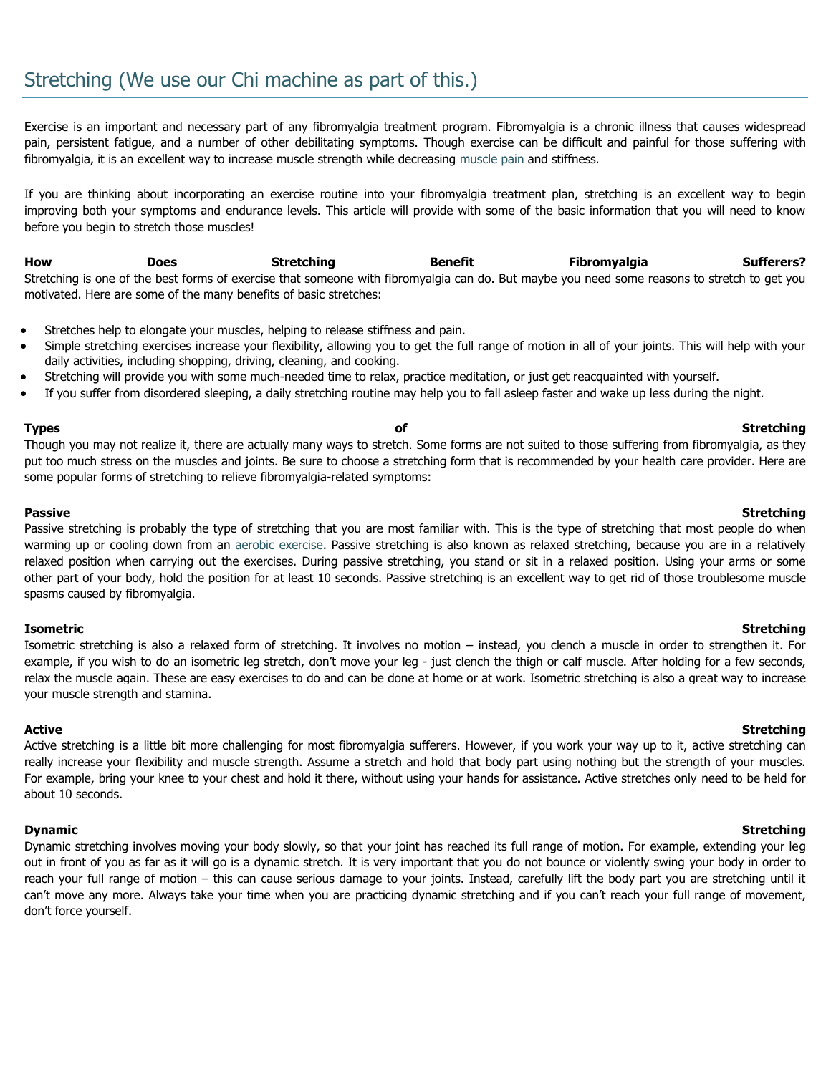Exercise is an important and necessary part of any fibromyalgia treatment program. Fibromyalgia is a chronic illness that causes widespread pain, persistent fatigue, and a number of other debilitating symptoms. Though exercise can be difficult and painful for those suffering with fibromyalgia, it is an excellent way to increase muscle strength while decreasing [muscle pain](http://www.fibromyalgia-symptoms.org/fibromyalgia_widespread_pain.html) and stiffness.

If you are thinking about incorporating an exercise routine into your fibromyalgia treatment plan, stretching is an excellent way to begin improving both your symptoms and endurance levels. This article will provide with some of the basic information that you will need to know before you begin to stretch those muscles!

**How Does Stretching Benefit Fibromyalgia Sufferers?** Stretching is one of the best forms of exercise that someone with fibromyalgia can do. But maybe you need some reasons to stretch to get you motivated. Here are some of the many benefits of basic stretches:

- Stretches help to elongate your muscles, helping to release stiffness and pain.
- Simple stretching exercises increase your flexibility, allowing you to get the full range of motion in all of your joints. This will help with your daily activities, including shopping, driving, cleaning, and cooking.
- Stretching will provide you with some much-needed time to relax, practice meditation, or just get reacquainted with yourself.
- If you suffer from disordered sleeping, a daily stretching routine may help you to fall asleep faster and wake up less during the night.

**Types of Stretching** Though you may not realize it, there are actually many ways to stretch. Some forms are not suited to those suffering from fibromyalgia, as they put too much stress on the muscles and joints. Be sure to choose a stretching form that is recommended by your health care provider. Here are some popular forms of stretching to relieve fibromyalgia-related symptoms:

#### **Passive Stretching**

Passive stretching is probably the type of stretching that you are most familiar with. This is the type of stretching that most people do when warming up or cooling down from an [aerobic exercise.](http://www.fibromyalgia-symptoms.org/fibromyalgia_aerobics.html) Passive stretching is also known as relaxed stretching, because you are in a relatively relaxed position when carrying out the exercises. During passive stretching, you stand or sit in a relaxed position. Using your arms or some other part of your body, hold the position for at least 10 seconds. Passive stretching is an excellent way to get rid of those troublesome muscle spasms caused by fibromyalgia.

#### **Isometric Stretching**

Isometric stretching is also a relaxed form of stretching. It involves no motion – instead, you clench a muscle in order to strengthen it. For example, if you wish to do an isometric leg stretch, don't move your leg - just clench the thigh or calf muscle. After holding for a few seconds, relax the muscle again. These are easy exercises to do and can be done at home or at work. Isometric stretching is also a great way to increase your muscle strength and stamina.

Active stretching is a little bit more challenging for most fibromyalgia sufferers. However, if you work your way up to it, active stretching can really increase your flexibility and muscle strength. Assume a stretch and hold that body part using nothing but the strength of your muscles. For example, bring your knee to your chest and hold it there, without using your hands for assistance. Active stretches only need to be held for about 10 seconds.

Dynamic stretching involves moving your body slowly, so that your joint has reached its full range of motion. For example, extending your leg out in front of you as far as it will go is a dynamic stretch. It is very important that you do not bounce or violently swing your body in order to reach your full range of motion – this can cause serious damage to your joints. Instead, carefully lift the body part you are stretching until it can't move any more. Always take your time when you are practicing dynamic stretching and if you can't reach your full range of movement, don't force yourself.

#### Active **Stretching**

#### **Dynamic Stretching**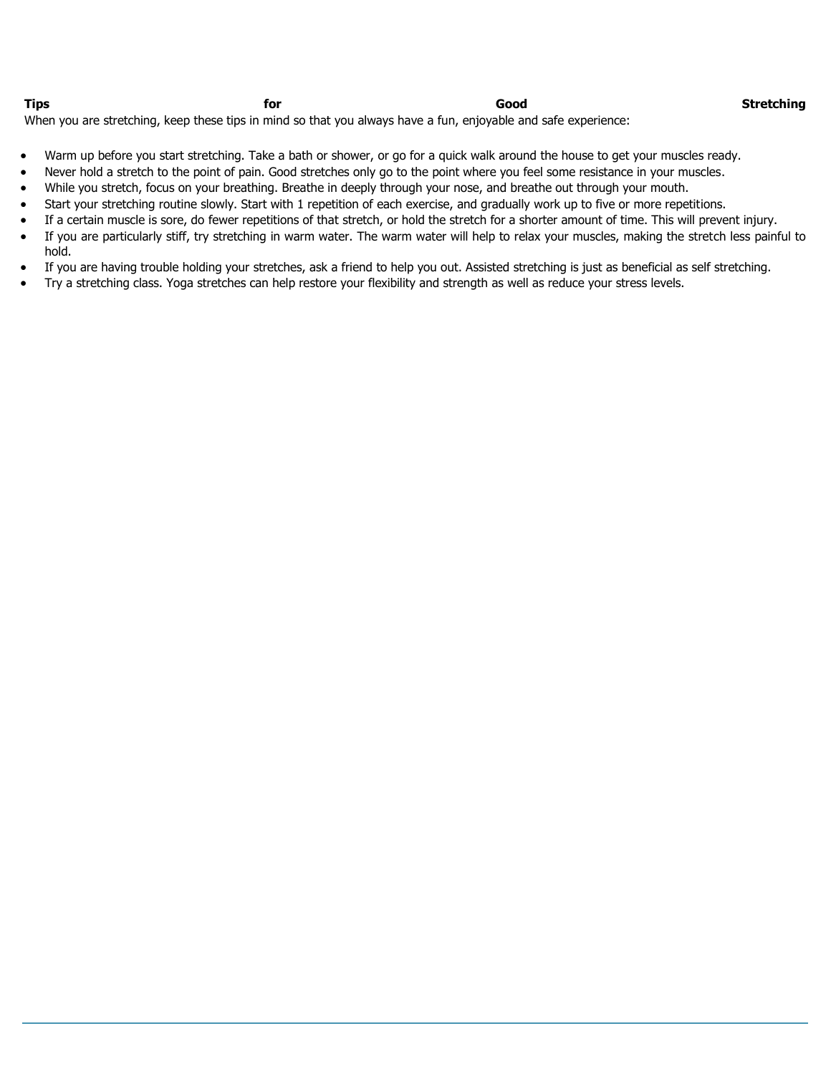**Tips for Good Stretching**

When you are stretching, keep these tips in mind so that you always have a fun, enjoyable and safe experience:

- Warm up before you start stretching. Take a bath or shower, or go for a quick walk around the house to get your muscles ready.
- Never hold a stretch to the point of pain. Good stretches only go to the point where you feel some resistance in your muscles.
- While you stretch, focus on your breathing. Breathe in deeply through your nose, and breathe out through your mouth.
- Start your stretching routine slowly. Start with 1 repetition of each exercise, and gradually work up to five or more repetitions.
- If a certain muscle is sore, do fewer repetitions of that stretch, or hold the stretch for a shorter amount of time. This will prevent injury.
- If you are particularly stiff, try stretching in warm water. The warm water will help to relax your muscles, making the stretch less painful to hold.
- If you are having trouble holding your stretches, ask a friend to help you out. Assisted stretching is just as beneficial as self stretching.
- Try a stretching class. Yoga stretches can help restore your flexibility and strength as well as reduce your stress levels.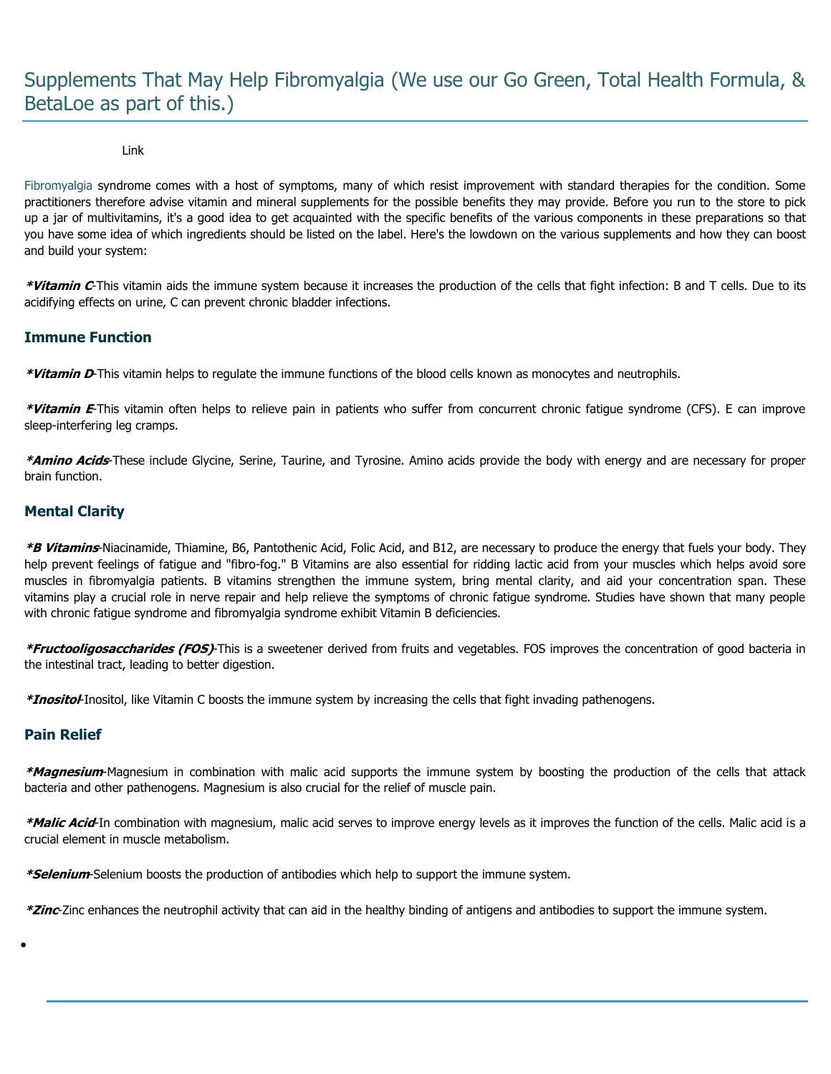# Supplements That May Help Fibromyalgia (We use our Go Green, Total Health Formula, & BetaLoe as part of this.)

#### Link

[Fibromyalgia](http://www.fibromyalgia-symptoms.org/fibromyalgia_what_is.html) syndrome comes with a host of symptoms, many of which resist improvement with standard therapies for the condition. Some practitioners therefore advise vitamin and mineral supplements for the possible benefits they may provide. Before you run to the store to pick up a jar of multivitamins, it's a good idea to get acquainted with the specific benefits of the various components in these preparations so that you have some idea of which ingredients should be listed on the label. Here's the lowdown on the various supplements and how they can boost and build your system:

**\*Vitamin C**-This vitamin aids the immune system because it increases the production of the cells that fight infection: B and T cells. Due to its acidifying effects on urine, C can prevent chronic bladder infections.

## **Immune Function**

**\*Vitamin D**-This vitamin helps to regulate the immune functions of the blood cells known as monocytes and neutrophils.

**\*Vitamin E**-This vitamin often helps to relieve pain in patients who suffer from concurrent chronic fatigue syndrome (CFS). E can improve sleep-interfering leg cramps.

**\*Amino Acids**-These include Glycine, Serine, Taurine, and Tyrosine. Amino acids provide the body with energy and are necessary for proper brain function.

### **Mental Clarity**

**\*B Vitamins**-Niacinamide, Thiamine, B6, Pantothenic Acid, Folic Acid, and B12, are necessary to produce the energy that fuels your body. They help prevent feelings of fatigue and "fibro-fog." B Vitamins are also essential for ridding lactic acid from your muscles which helps avoid sore muscles in fibromyalgia patients. B vitamins strengthen the immune system, bring mental clarity, and aid your concentration span. These vitamins play a crucial role in nerve repair and help relieve the symptoms of chronic fatigue syndrome. Studies have shown that many people with chronic fatigue syndrome and fibromyalgia syndrome exhibit Vitamin B deficiencies.

**\*Fructooligosaccharides (FOS)**-This is a sweetener derived from fruits and vegetables. FOS improves the concentration of good bacteria in the intestinal tract, leading to better digestion.

**\*Inositol**-Inositol, like Vitamin C boosts the immune system by increasing the cells that fight invading pathenogens.

### **Pain Relief**

 $\bullet$ 

**\*Magnesium**-Magnesium in combination with malic acid supports the immune system by boosting the production of the cells that attack bacteria and other pathenogens. Magnesium is also crucial for the relief of muscle pain.

**\*Malic Acid**-In combination with magnesium, malic acid serves to improve energy levels as it improves the function of the cells. Malic acid is a crucial element in muscle metabolism.

**\*Selenium**-Selenium boosts the production of antibodies which help to support the immune system.

**\*Zinc**-Zinc enhances the neutrophil activity that can aid in the healthy binding of antigens and antibodies to support the immune system.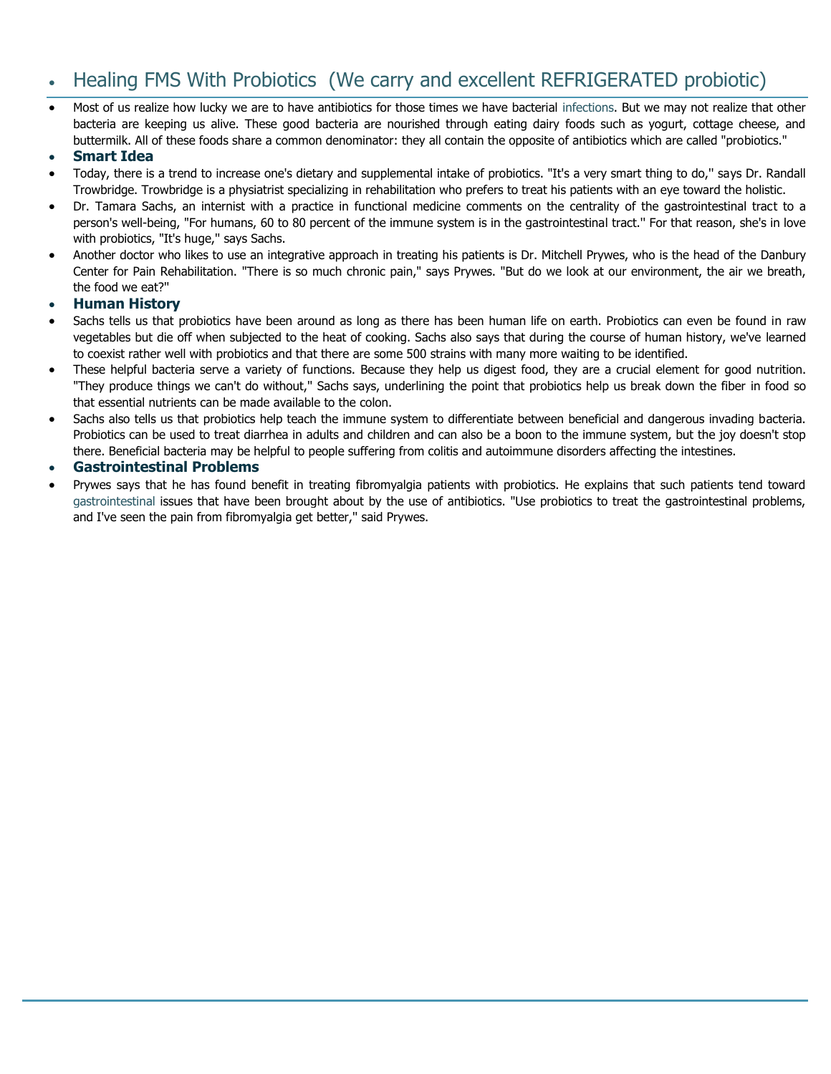# Healing FMS With Probiotics (We carry and excellent REFRIGERATED probiotic)

 Most of us realize how lucky we are to have antibiotics for those times we have bacterial [infections.](http://www.fibromyalgia-symptoms.org/fibromyalgia_yeast_infections.html) But we may not realize that other bacteria are keeping us alive. These good bacteria are nourished through eating dairy foods such as yogurt, cottage cheese, and buttermilk. All of these foods share a common denominator: they all contain the opposite of antibiotics which are called "probiotics."

### **Smart Idea**

- Today, there is a trend to increase one's dietary and supplemental intake of probiotics. "It's a very smart thing to do,'' says Dr. Randall Trowbridge. Trowbridge is a physiatrist specializing in rehabilitation who prefers to treat his patients with an eye toward the holistic.
- Dr. Tamara Sachs, an internist with a practice in functional medicine comments on the centrality of the gastrointestinal tract to a person's well-being, "For humans, 60 to 80 percent of the immune system is in the gastrointestinal tract.'' For that reason, she's in love with probiotics, "It's huge," says Sachs.
- Another doctor who likes to use an integrative approach in treating his patients is Dr. Mitchell Prywes, who is the head of the Danbury Center for Pain Rehabilitation. "There is so much chronic pain," says Prywes. "But do we look at our environment, the air we breath, the food we eat?''

### **Human History**

- Sachs tells us that probiotics have been around as long as there has been human life on earth. Probiotics can even be found in raw vegetables but die off when subjected to the heat of cooking. Sachs also says that during the course of human history, we've learned to coexist rather well with probiotics and that there are some 500 strains with many more waiting to be identified.
- These helpful bacteria serve a variety of functions. Because they help us digest food, they are a crucial element for good nutrition. "They produce things we can't do without,'' Sachs says, underlining the point that probiotics help us break down the fiber in food so that essential nutrients can be made available to the colon.
- Sachs also tells us that probiotics help teach the immune system to differentiate between beneficial and dangerous invading bacteria. Probiotics can be used to treat diarrhea in adults and children and can also be a boon to the immune system, but the joy doesn't stop there. Beneficial bacteria may be helpful to people suffering from colitis and autoimmune disorders affecting the intestines.

### **Gastrointestinal Problems**

 Prywes says that he has found benefit in treating fibromyalgia patients with probiotics. He explains that such patients tend toward [gastrointestinal](http://www.fibromyalgia-symptoms.org/fibromyalgia_crohns.html) issues that have been brought about by the use of antibiotics. "Use probiotics to treat the gastrointestinal problems, and I've seen the pain from fibromyalgia get better,'' said Prywes.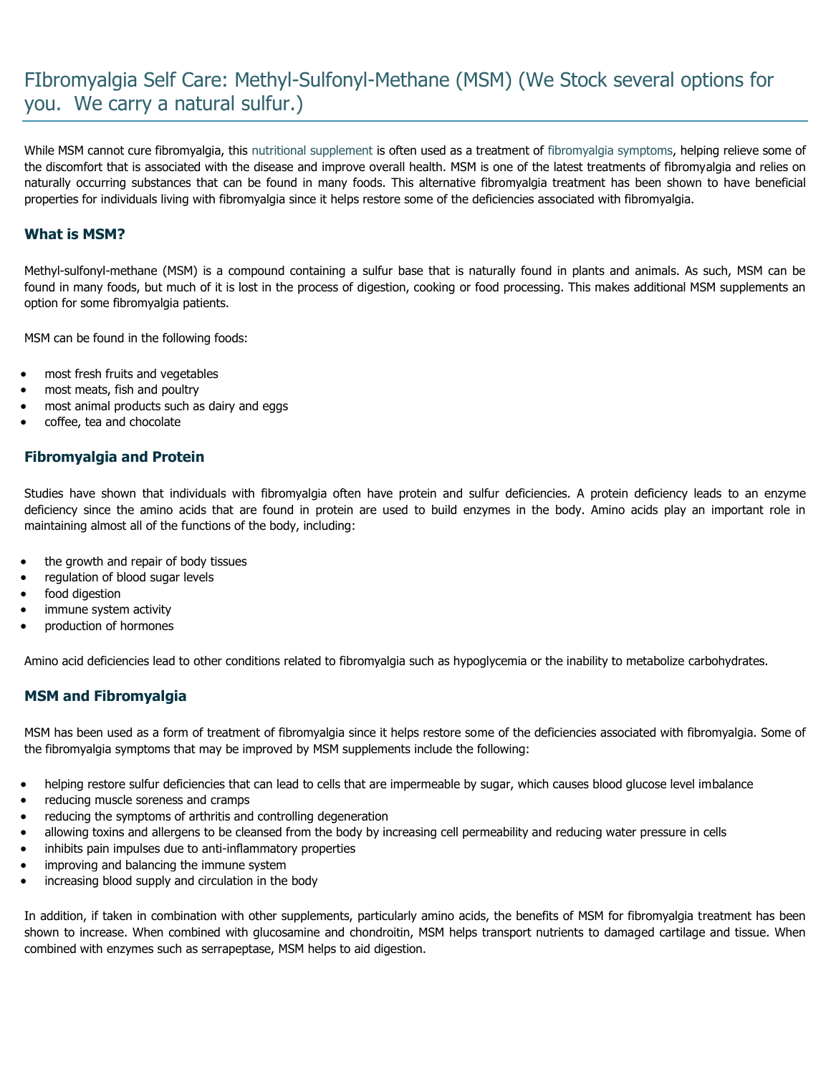# FIbromyalgia Self Care: Methyl-Sulfonyl-Methane (MSM) (We Stock several options for you. We carry a natural sulfur.)

While MSM cannot cure fibromyalgia, this [nutritional supplement](http://www.fibromyalgia-symptoms.org/care/supplements.html) is often used as a treatment of [fibromyalgia symptoms,](http://www.fibromyalgia-symptoms.org/fibromyalgia_treatment.html) helping relieve some of the discomfort that is associated with the disease and improve overall health. MSM is one of the latest treatments of fibromyalgia and relies on naturally occurring substances that can be found in many foods. This alternative fibromyalgia treatment has been shown to have beneficial properties for individuals living with fibromyalgia since it helps restore some of the deficiencies associated with fibromyalgia.

# **What is MSM?**

Methyl-sulfonyl-methane (MSM) is a compound containing a sulfur base that is naturally found in plants and animals. As such, MSM can be found in many foods, but much of it is lost in the process of digestion, cooking or food processing. This makes additional MSM supplements an option for some fibromyalgia patients.

MSM can be found in the following foods:

- most fresh fruits and vegetables
- most meats, fish and poultry
- most animal products such as dairy and eggs
- coffee, tea and chocolate

## **Fibromyalgia and Protein**

Studies have shown that individuals with fibromyalgia often have protein and sulfur deficiencies. A protein deficiency leads to an enzyme deficiency since the amino acids that are found in protein are used to build enzymes in the body. Amino acids play an important role in maintaining almost all of the functions of the body, including:

- the growth and repair of body tissues
- regulation of blood sugar levels
- food digestion
- immune system activity
- production of hormones

Amino acid deficiencies lead to other conditions related to fibromyalgia such as hypoglycemia or the inability to metabolize carbohydrates.

### **MSM and Fibromyalgia**

MSM has been used as a form of treatment of fibromyalgia since it helps restore some of the deficiencies associated with fibromyalgia. Some of the fibromyalgia symptoms that may be improved by MSM supplements include the following:

- helping restore sulfur deficiencies that can lead to cells that are impermeable by sugar, which causes blood glucose level imbalance
- reducing muscle soreness and cramps
- reducing the symptoms of arthritis and controlling degeneration
- allowing toxins and allergens to be cleansed from the body by increasing cell permeability and reducing water pressure in cells
- inhibits pain impulses due to anti-inflammatory properties
- improving and balancing the immune system
- increasing blood supply and circulation in the body

In addition, if taken in combination with other supplements, particularly amino acids, the benefits of MSM for fibromyalgia treatment has been shown to increase. When combined with glucosamine and chondroitin, MSM helps transport nutrients to damaged cartilage and tissue. When combined with enzymes such as serrapeptase, MSM helps to aid digestion.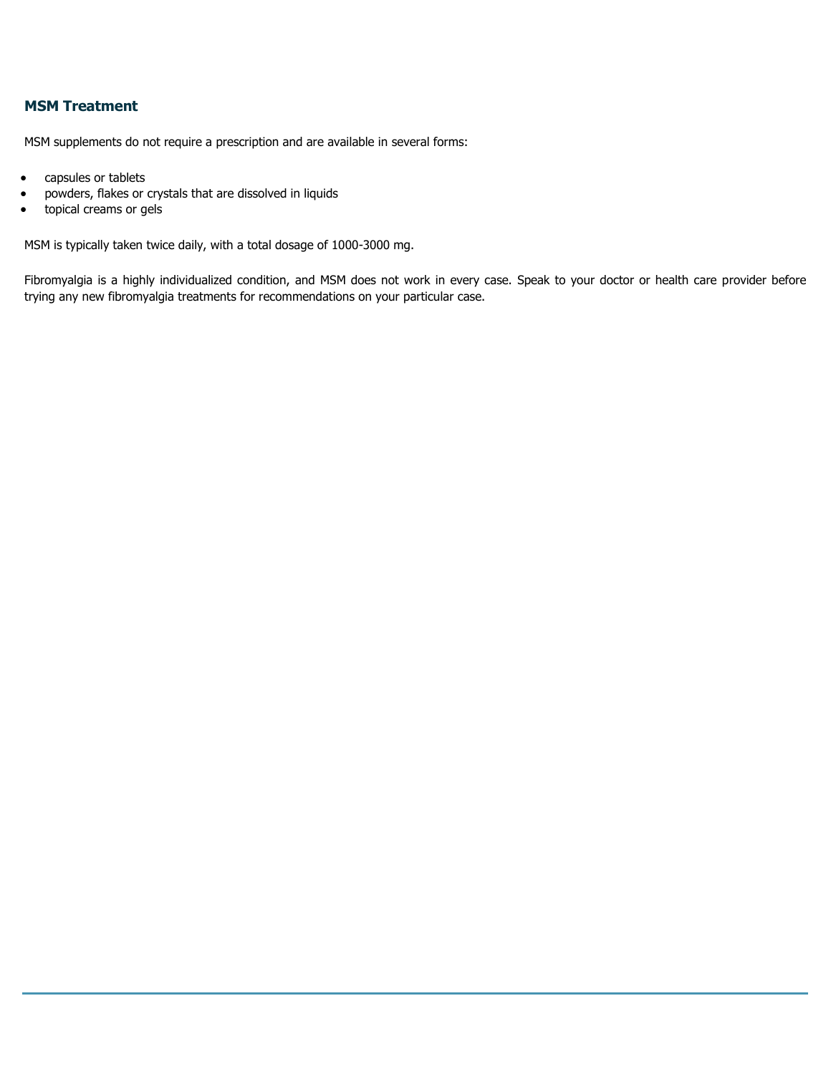# **MSM Treatment**

MSM supplements do not require a prescription and are available in several forms:

- capsules or tablets
- powders, flakes or crystals that are dissolved in liquids
- **•** topical creams or gels

MSM is typically taken twice daily, with a total dosage of 1000-3000 mg.

Fibromyalgia is a highly individualized condition, and MSM does not work in every case. Speak to your doctor or health care provider before trying any new fibromyalgia treatments for recommendations on your particular case.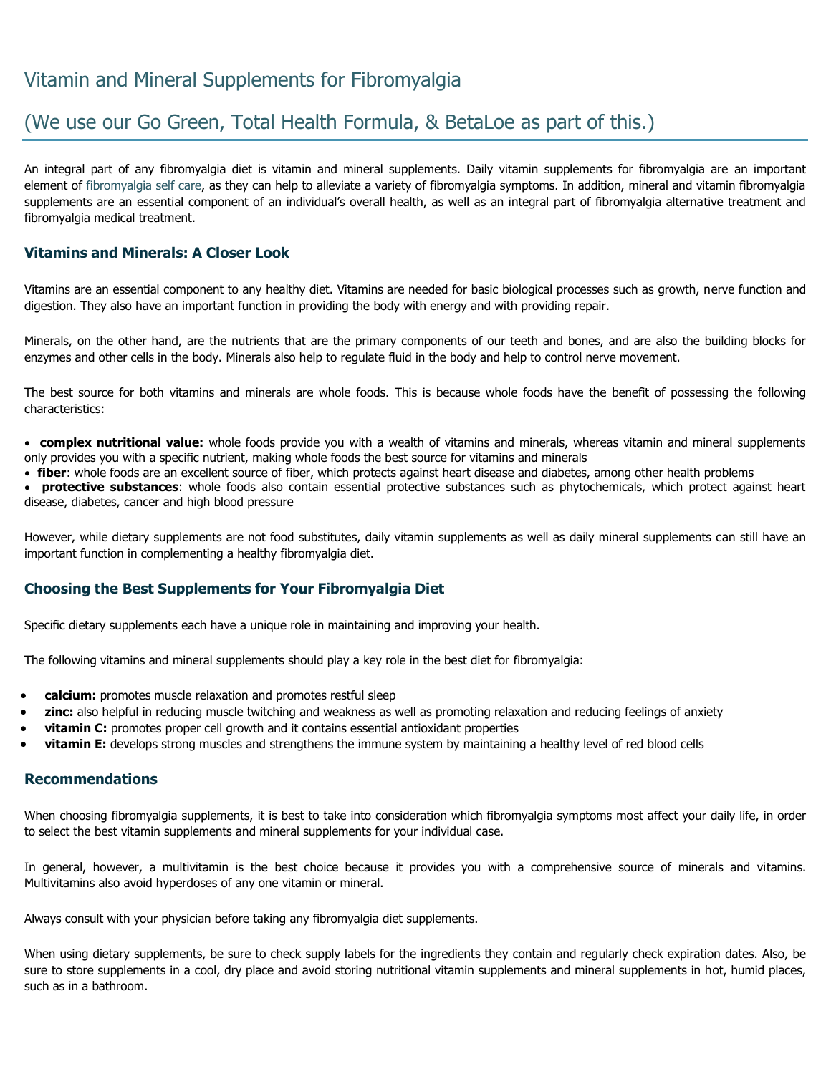# Vitamin and Mineral Supplements for Fibromyalgia

# (We use our Go Green, Total Health Formula, & BetaLoe as part of this.)

An integral part of any fibromyalgia diet is vitamin and mineral supplements. Daily vitamin supplements for fibromyalgia are an important element of [fibromyalgia self care,](http://www.fibromyalgia-symptoms.org/care/fibromyalgia_about.html) as they can help to alleviate a variety of fibromyalgia symptoms. In addition, mineral and vitamin fibromyalgia supplements are an essential component of an individual's overall health, as well as an integral part of fibromyalgia alternative treatment and fibromyalgia medical treatment.

## **Vitamins and Minerals: A Closer Look**

Vitamins are an essential component to any healthy diet. Vitamins are needed for basic biological processes such as growth, nerve function and digestion. They also have an important function in providing the body with energy and with providing repair.

Minerals, on the other hand, are the nutrients that are the primary components of our teeth and bones, and are also the building blocks for enzymes and other cells in the body. Minerals also help to regulate fluid in the body and help to control nerve movement.

The best source for both vitamins and minerals are whole foods. This is because whole foods have the benefit of possessing the following characteristics:

 **complex nutritional value:** whole foods provide you with a wealth of vitamins and minerals, whereas vitamin and mineral supplements only provides you with a specific nutrient, making whole foods the best source for vitamins and minerals

**fiber**: whole foods are an excellent source of fiber, which protects against heart disease and diabetes, among other health problems

 **protective substances**: whole foods also contain essential protective substances such as phytochemicals, which protect against heart disease, diabetes, cancer and high blood pressure

However, while dietary supplements are not food substitutes, daily vitamin supplements as well as daily mineral supplements can still have an important function in complementing a healthy fibromyalgia diet.

### **Choosing the Best Supplements for Your Fibromyalgia Diet**

Specific dietary supplements each have a unique role in maintaining and improving your health.

The following vitamins and mineral supplements should play a key role in the best diet for fibromyalgia:

- **calcium:** promotes muscle relaxation and promotes restful sleep
- **zinc:** also helpful in reducing muscle twitching and weakness as well as promoting relaxation and reducing feelings of anxiety
- **vitamin C:** promotes proper cell growth and it contains essential antioxidant properties
- **vitamin E:** develops strong muscles and strengthens the immune system by maintaining a healthy level of red blood cells

### **Recommendations**

When choosing fibromyalgia supplements, it is best to take into consideration which fibromyalgia symptoms most affect your daily life, in order to select the best vitamin supplements and mineral supplements for your individual case.

In general, however, a multivitamin is the best choice because it provides you with a comprehensive source of minerals and vitamins. Multivitamins also avoid hyperdoses of any one vitamin or mineral.

Always consult with your physician before taking any fibromyalgia diet supplements.

When using dietary supplements, be sure to check supply labels for the ingredients they contain and regularly check expiration dates. Also, be sure to store supplements in a cool, dry place and avoid storing nutritional vitamin supplements and mineral supplements in hot, humid places, such as in a bathroom.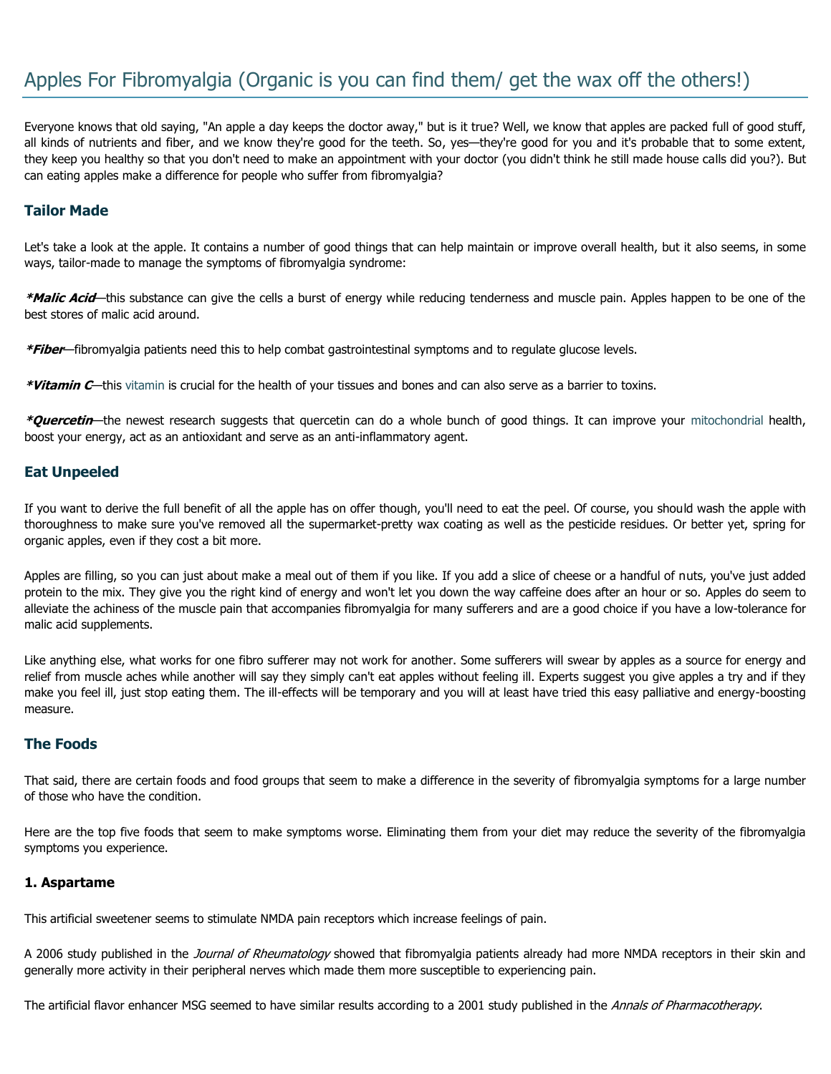# Apples For Fibromyalgia (Organic is you can find them/ get the wax off the others!)

Everyone knows that old saying, "An apple a day keeps the doctor away," but is it true? Well, we know that apples are packed full of good stuff, all kinds of nutrients and fiber, and we know they're good for the teeth. So, yes—they're good for you and it's probable that to some extent, they keep you healthy so that you don't need to make an appointment with your doctor (you didn't think he still made house calls did you?). But can eating apples make a difference for people who suffer from fibromyalgia?

## **Tailor Made**

Let's take a look at the apple. It contains a number of good things that can help maintain or improve overall health, but it also seems, in some ways, tailor-made to manage the symptoms of fibromyalgia syndrome:

**\*Malic Acid**—this substance can give the cells a burst of energy while reducing tenderness and muscle pain. Apples happen to be one of the best stores of malic acid around.

**\*Fiber**—fibromyalgia patients need this to help combat gastrointestinal symptoms and to regulate glucose levels.

**\*Vitamin C**—this [vitamin](http://www.fibromyalgia-symptoms.org/care/supplements.html) is crucial for the health of your tissues and bones and can also serve as a barrier to toxins.

**\*Quercetin**—the newest research suggests that quercetin can do a whole bunch of good things. It can improve your [mitochondrial](http://www.fibromyalgia-symptoms.org/fibromyalgia_fatigue.html) health, boost your energy, act as an antioxidant and serve as an anti-inflammatory agent.

### **Eat Unpeeled**

If you want to derive the full benefit of all the apple has on offer though, you'll need to eat the peel. Of course, you should wash the apple with thoroughness to make sure you've removed all the supermarket-pretty wax coating as well as the pesticide residues. Or better yet, spring for organic apples, even if they cost a bit more.

Apples are filling, so you can just about make a meal out of them if you like. If you add a slice of cheese or a handful of nuts, you've just added protein to the mix. They give you the right kind of energy and won't let you down the way caffeine does after an hour or so. Apples do seem to alleviate the achiness of the muscle pain that accompanies fibromyalgia for many sufferers and are a good choice if you have a low-tolerance for malic acid supplements.

Like anything else, what works for one fibro sufferer may not work for another. Some sufferers will swear by apples as a source for energy and relief from muscle aches while another will say they simply can't eat apples without feeling ill. Experts suggest you give apples a try and if they make you feel ill, just stop eating them. The ill-effects will be temporary and you will at least have tried this easy palliative and energy-boosting measure.

### **The Foods**

That said, there are certain foods and food groups that seem to make a difference in the severity of fibromyalgia symptoms for a large number of those who have the condition.

Here are the top five foods that seem to make symptoms worse. Eliminating them from your diet may reduce the severity of the fibromyalgia symptoms you experience.

### **1. Aspartame**

This artificial sweetener seems to stimulate NMDA pain receptors which increase feelings of pain.

A 2006 study published in the *Journal of Rheumatology* showed that fibromyalgia patients already had more NMDA receptors in their skin and generally more activity in their peripheral nerves which made them more susceptible to experiencing pain.

The artificial flavor enhancer MSG seemed to have similar results according to a 2001 study published in the Annals of Pharmacotherapy.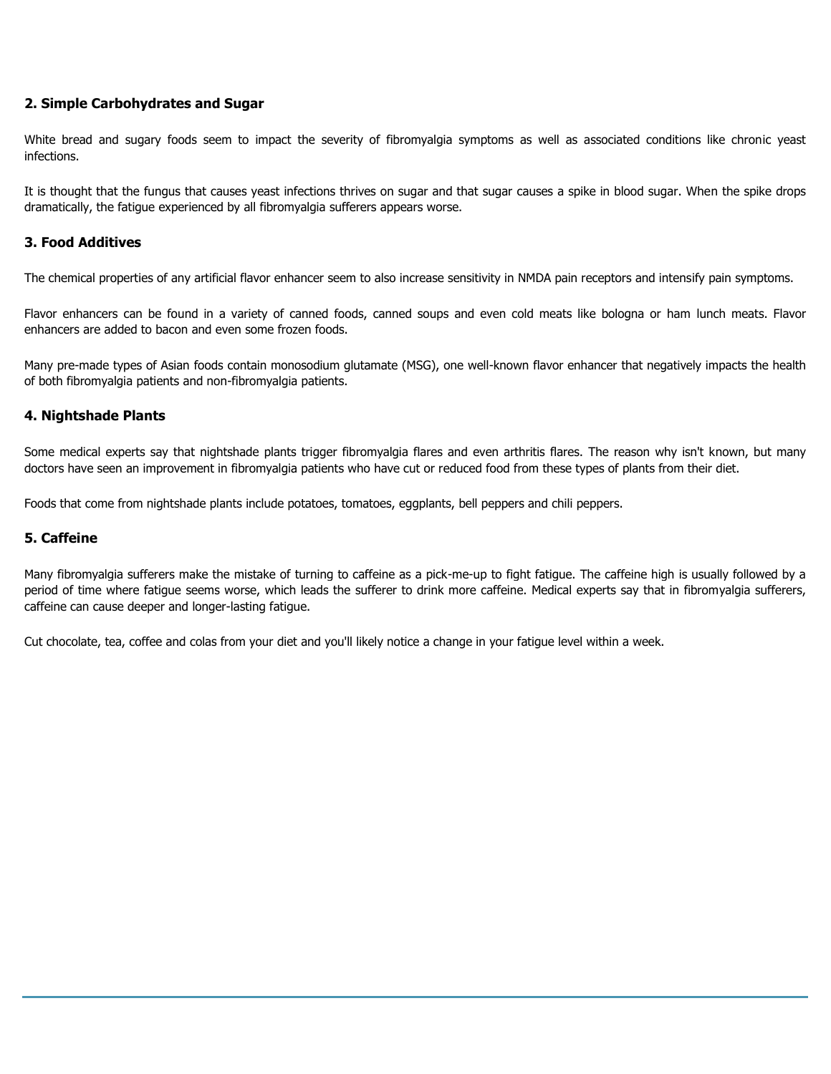## **2. Simple Carbohydrates and Sugar**

White bread and sugary foods seem to impact the severity of fibromyalgia symptoms as well as associated conditions like chronic yeast infections.

It is thought that the fungus that causes yeast infections thrives on sugar and that sugar causes a spike in blood sugar. When the spike drops dramatically, the fatigue experienced by all fibromyalgia sufferers appears worse.

### **3. Food Additives**

The chemical properties of any artificial flavor enhancer seem to also increase sensitivity in NMDA pain receptors and intensify pain symptoms.

Flavor enhancers can be found in a variety of canned foods, canned soups and even cold meats like bologna or ham lunch meats. Flavor enhancers are added to bacon and even some frozen foods.

Many pre-made types of Asian foods contain monosodium glutamate (MSG), one well-known flavor enhancer that negatively impacts the health of both fibromyalgia patients and non-fibromyalgia patients.

### **4. Nightshade Plants**

Some medical experts say that nightshade plants trigger fibromyalgia flares and even arthritis flares. The reason why isn't known, but many doctors have seen an improvement in fibromyalgia patients who have cut or reduced food from these types of plants from their diet.

Foods that come from nightshade plants include potatoes, tomatoes, eggplants, bell peppers and chili peppers.

### **5. Caffeine**

Many fibromyalgia sufferers make the mistake of turning to caffeine as a pick-me-up to fight fatigue. The caffeine high is usually followed by a period of time where fatigue seems worse, which leads the sufferer to drink more caffeine. Medical experts say that in fibromyalgia sufferers, caffeine can cause deeper and longer-lasting fatigue.

Cut chocolate, tea, coffee and colas from your diet and you'll likely notice a change in your fatigue level within a week.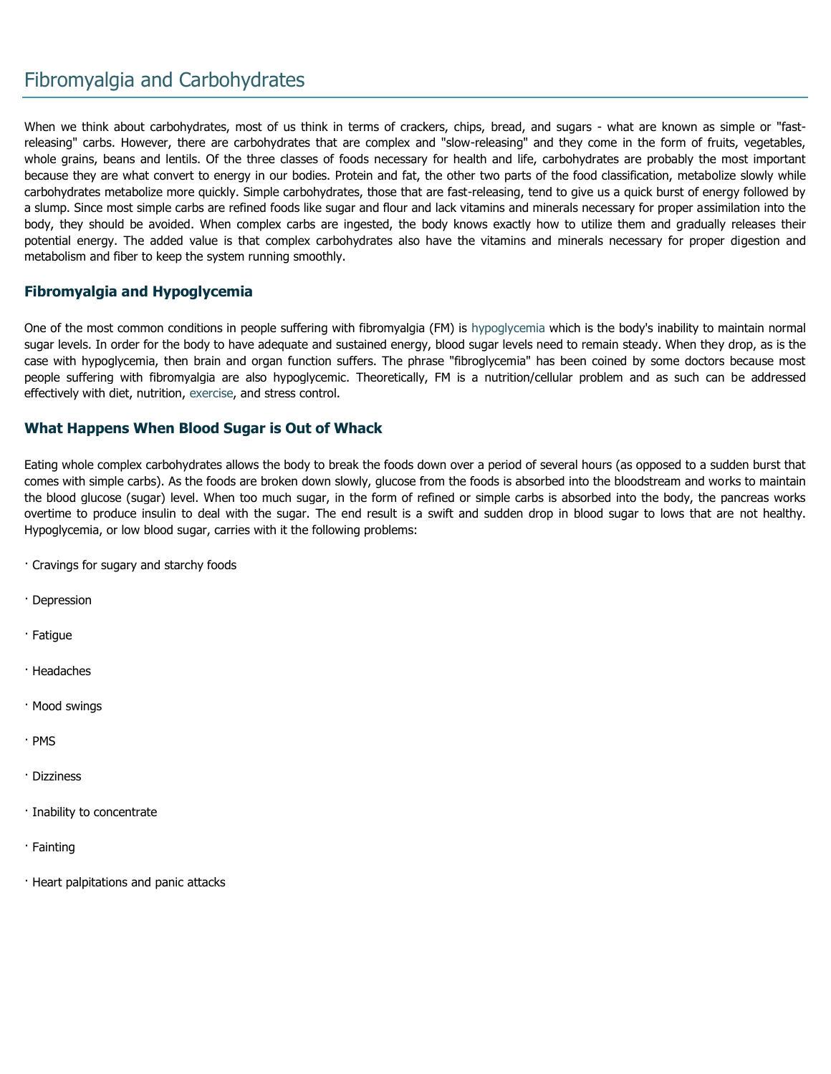# Fibromyalgia and Carbohydrates

When we think about carbohydrates, most of us think in terms of crackers, chips, bread, and sugars - what are known as simple or "fastreleasing" carbs. However, there are carbohydrates that are complex and "slow-releasing" and they come in the form of fruits, vegetables, whole grains, beans and lentils. Of the three classes of foods necessary for health and life, carbohydrates are probably the most important because they are what convert to energy in our bodies. Protein and fat, the other two parts of the food classification, metabolize slowly while carbohydrates metabolize more quickly. Simple carbohydrates, those that are fast-releasing, tend to give us a quick burst of energy followed by a slump. Since most simple carbs are refined foods like sugar and flour and lack vitamins and minerals necessary for proper assimilation into the body, they should be avoided. When complex carbs are ingested, the body knows exactly how to utilize them and gradually releases their potential energy. The added value is that complex carbohydrates also have the vitamins and minerals necessary for proper digestion and metabolism and fiber to keep the system running smoothly.

## **Fibromyalgia and Hypoglycemia**

One of the most common conditions in people suffering with fibromyalgia (FM) is [hypoglycemia w](http://www.fibromyalgia-symptoms.org/fibromyalgia-hypoglycemia.html)hich is the body's inability to maintain normal sugar levels. In order for the body to have adequate and sustained energy, blood sugar levels need to remain steady. When they drop, as is the case with hypoglycemia, then brain and organ function suffers. The phrase "fibroglycemia" has been coined by some doctors because most people suffering with fibromyalgia are also hypoglycemic. Theoretically, FM is a nutrition/cellular problem and as such can be addressed effectively with diet, nutrition, [exercise,](http://www.fibromyalgia-symptoms.org/fibromyalgia_exercise.html) and stress control.

### **What Happens When Blood Sugar is Out of Whack**

Eating whole complex carbohydrates allows the body to break the foods down over a period of several hours (as opposed to a sudden burst that comes with simple carbs). As the foods are broken down slowly, glucose from the foods is absorbed into the bloodstream and works to maintain the blood glucose (sugar) level. When too much sugar, in the form of refined or simple carbs is absorbed into the body, the pancreas works overtime to produce insulin to deal with the sugar. The end result is a swift and sudden drop in blood sugar to lows that are not healthy. Hypoglycemia, or low blood sugar, carries with it the following problems:

· Cravings for sugary and starchy foods

- · Depression
- · Fatigue
- · Headaches
- · Mood swings
- · PMS
- · Dizziness
- · Inability to concentrate
- · Fainting
- · Heart palpitations and panic attacks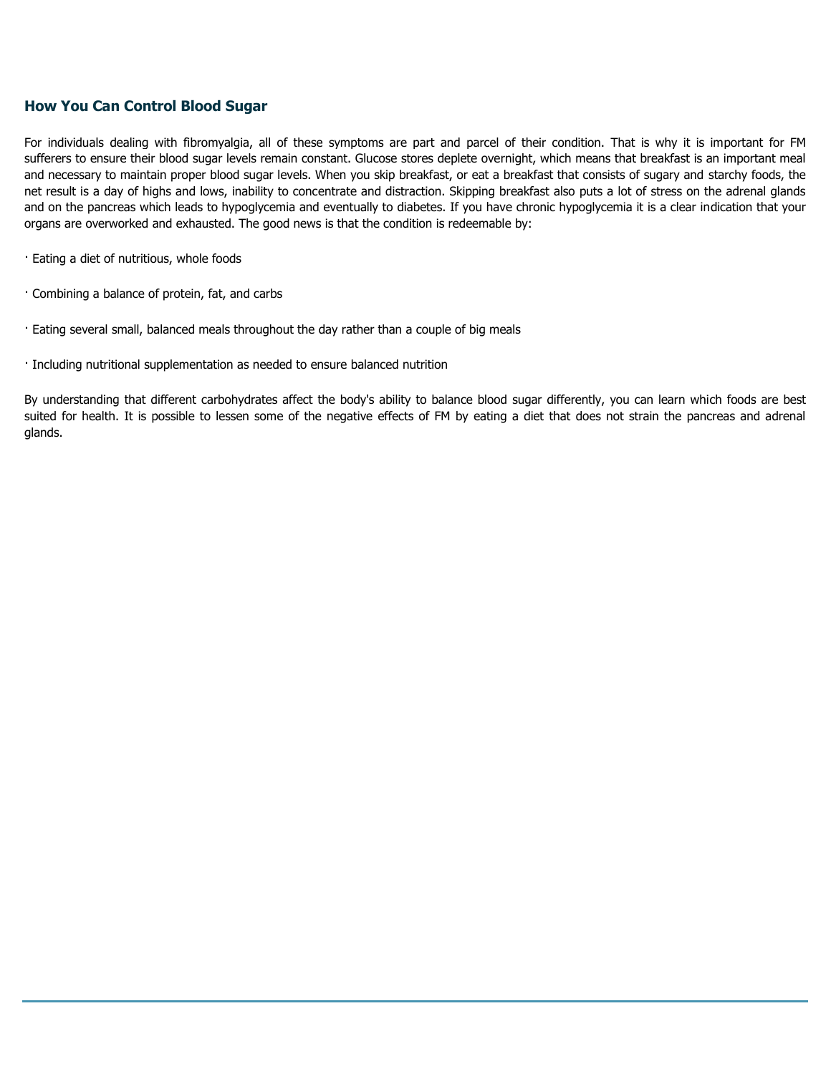# **How You Can Control Blood Sugar**

For individuals dealing with fibromyalgia, all of these symptoms are part and parcel of their condition. That is why it is important for FM sufferers to ensure their blood sugar levels remain constant. Glucose stores deplete overnight, which means that breakfast is an important meal and necessary to maintain proper blood sugar levels. When you skip breakfast, or eat a breakfast that consists of sugary and starchy foods, the net result is a day of highs and lows, inability to concentrate and distraction. Skipping breakfast also puts a lot of stress on the adrenal glands and on the pancreas which leads to hypoglycemia and eventually to diabetes. If you have chronic hypoglycemia it is a clear indication that your organs are overworked and exhausted. The good news is that the condition is redeemable by:

- · Eating a diet of nutritious, whole foods
- · Combining a balance of protein, fat, and carbs
- · Eating several small, balanced meals throughout the day rather than a couple of big meals
- · Including nutritional supplementation as needed to ensure balanced nutrition

By understanding that different carbohydrates affect the body's ability to balance blood sugar differently, you can learn which foods are best suited for health. It is possible to lessen some of the negative effects of FM by eating a diet that does not strain the pancreas and adrenal glands.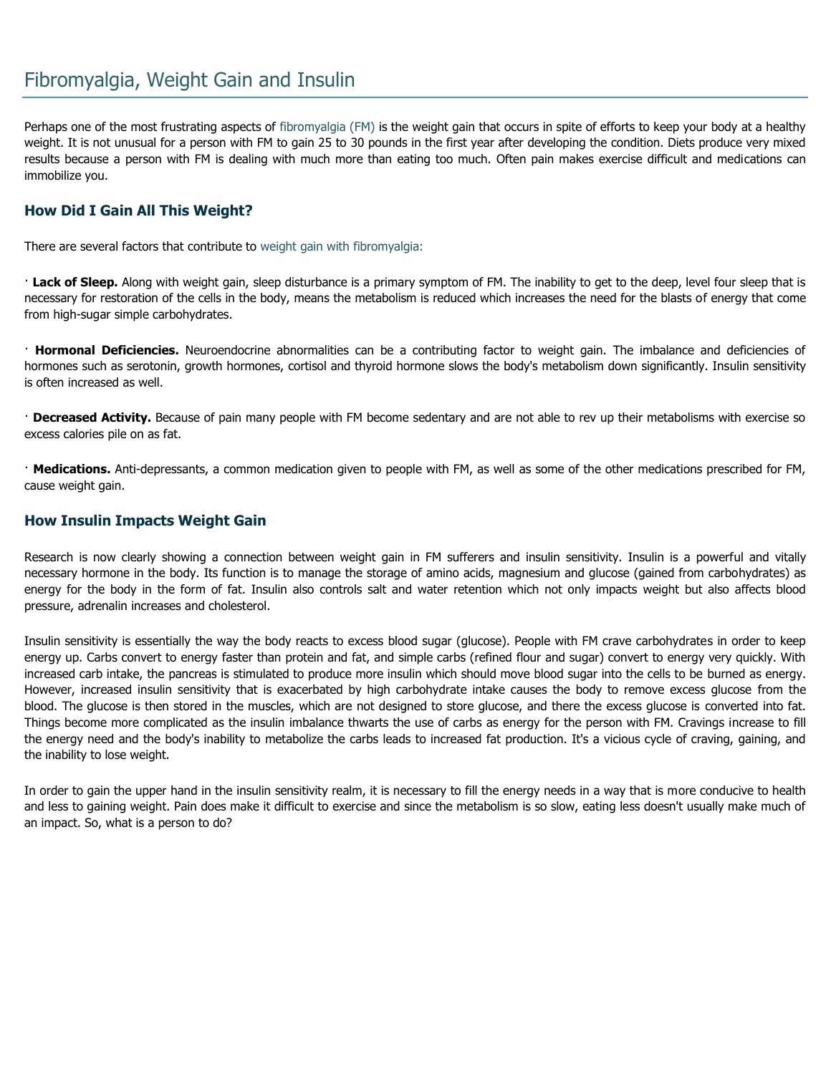Perhaps one of the most frustrating aspects of [fibromyalgia \(FM\) is](http://www.fibromyalgia-symptoms.org/fibromyalgia_what_is.html) the weight gain that occurs in spite of efforts to keep your body at a healthy weight. It is not unusual for a person with FM to gain 25 to 30 pounds in the first year after developing the condition. Diets produce very mixed results because a person with FM is dealing with much more than eating too much. Often pain makes exercise difficult and medications can immobilize you.

# **How Did I Gain All This Weight?**

There are several factors that contribute to [weight gain with fibromyalgia:](http://www.fibromyalgia-symptoms.org/symptoms/weight_gain.html)

· **Lack of Sleep.** Along with weight gain, sleep disturbance is a primary symptom of FM. The inability to get to the deep, level four sleep that is necessary for restoration of the cells in the body, means the metabolism is reduced which increases the need for the blasts of energy that come from high-sugar simple carbohydrates.

· **Hormonal Deficiencies.** Neuroendocrine abnormalities can be a contributing factor to weight gain. The imbalance and deficiencies of hormones such as serotonin, growth hormones, cortisol and thyroid hormone slows the body's metabolism down significantly. Insulin sensitivity is often increased as well.

· **Decreased Activity.** Because of pain many people with FM become sedentary and are not able to rev up their metabolisms with exercise so excess calories pile on as fat.

· **Medications.** Anti-depressants, a common medication given to people with FM, as well as some of the other medications prescribed for FM, cause weight gain.

### **How Insulin Impacts Weight Gain**

Research is now clearly showing a connection between weight gain in FM sufferers and insulin sensitivity. Insulin is a powerful and vitally necessary hormone in the body. Its function is to manage the storage of amino acids, magnesium and glucose (gained from carbohydrates) as energy for the body in the form of fat. Insulin also controls salt and water retention which not only impacts weight but also affects blood pressure, adrenalin increases and cholesterol.

Insulin sensitivity is essentially the way the body reacts to excess blood sugar (glucose). People with FM crave carbohydrates in order to keep energy up. Carbs convert to energy faster than protein and fat, and simple carbs (refined flour and sugar) convert to energy very quickly. With increased carb intake, the pancreas is stimulated to produce more insulin which should move blood sugar into the cells to be burned as energy. However, increased insulin sensitivity that is exacerbated by high carbohydrate intake causes the body to remove excess glucose from the blood. The glucose is then stored in the muscles, which are not designed to store glucose, and there the excess glucose is converted into fat. Things become more complicated as the insulin imbalance thwarts the use of carbs as energy for the person with FM. Cravings increase to fill the energy need and the body's inability to metabolize the carbs leads to increased fat production. It's a vicious cycle of craving, gaining, and the inability to lose weight.

In order to gain the upper hand in the insulin sensitivity realm, it is necessary to fill the energy needs in a way that is more conducive to health and less to gaining weight. Pain does make it difficult to exercise and since the metabolism is so slow, eating less doesn't usually make much of an impact. So, what is a person to do?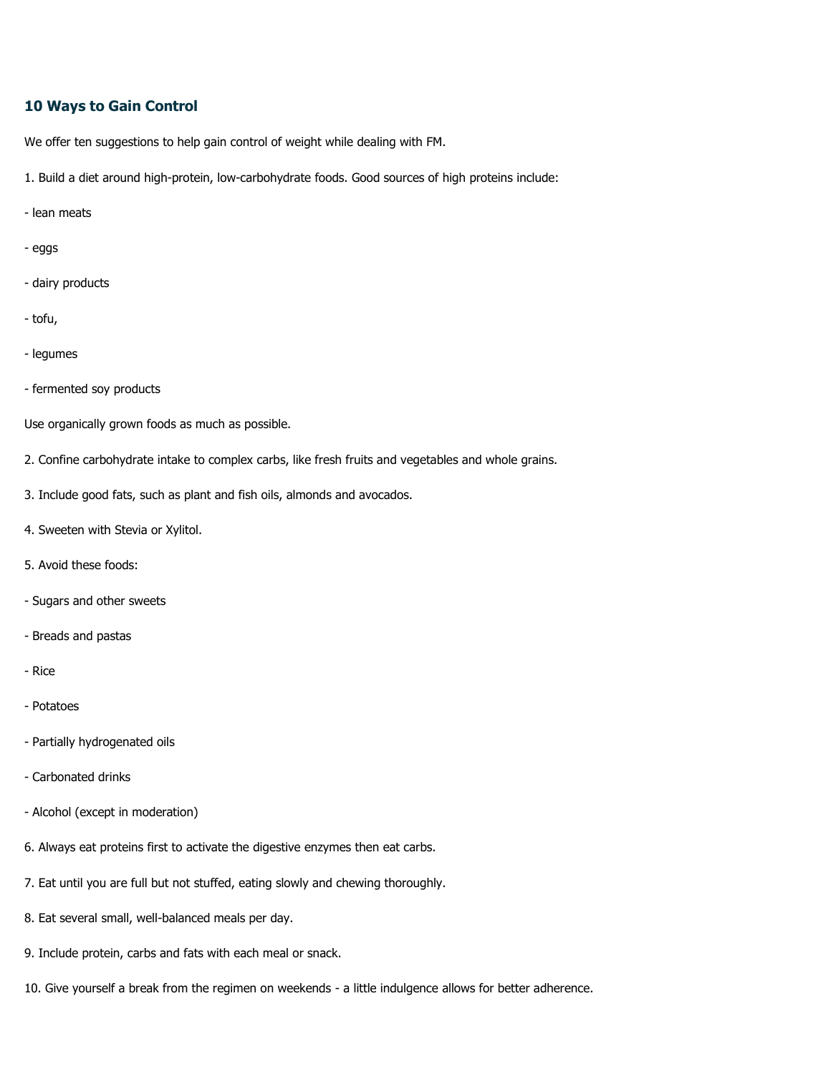### **10 Ways to Gain Control**

We offer ten suggestions to help gain control of weight while dealing with FM.

- 1. Build a diet around high-protein, low-carbohydrate foods. Good sources of high proteins include:
- lean meats
- eggs
- dairy products
- tofu,
- legumes
- fermented soy products

Use organically grown foods as much as possible.

- 2. Confine carbohydrate intake to complex carbs, like fresh fruits and vegetables and whole grains.
- 3. Include good fats, such as plant and fish oils, almonds and avocados.
- 4. Sweeten with Stevia or Xylitol.
- 5. Avoid these foods:
- Sugars and other sweets
- Breads and pastas
- Rice
- Potatoes
- Partially hydrogenated oils
- Carbonated drinks
- Alcohol (except in moderation)
- 6. Always eat proteins first to activate the digestive enzymes then eat carbs.
- 7. Eat until you are full but not stuffed, eating slowly and chewing thoroughly.
- 8. Eat several small, well-balanced meals per day.
- 9. Include protein, carbs and fats with each meal or snack.
- 10. Give yourself a break from the regimen on weekends a little indulgence allows for better adherence.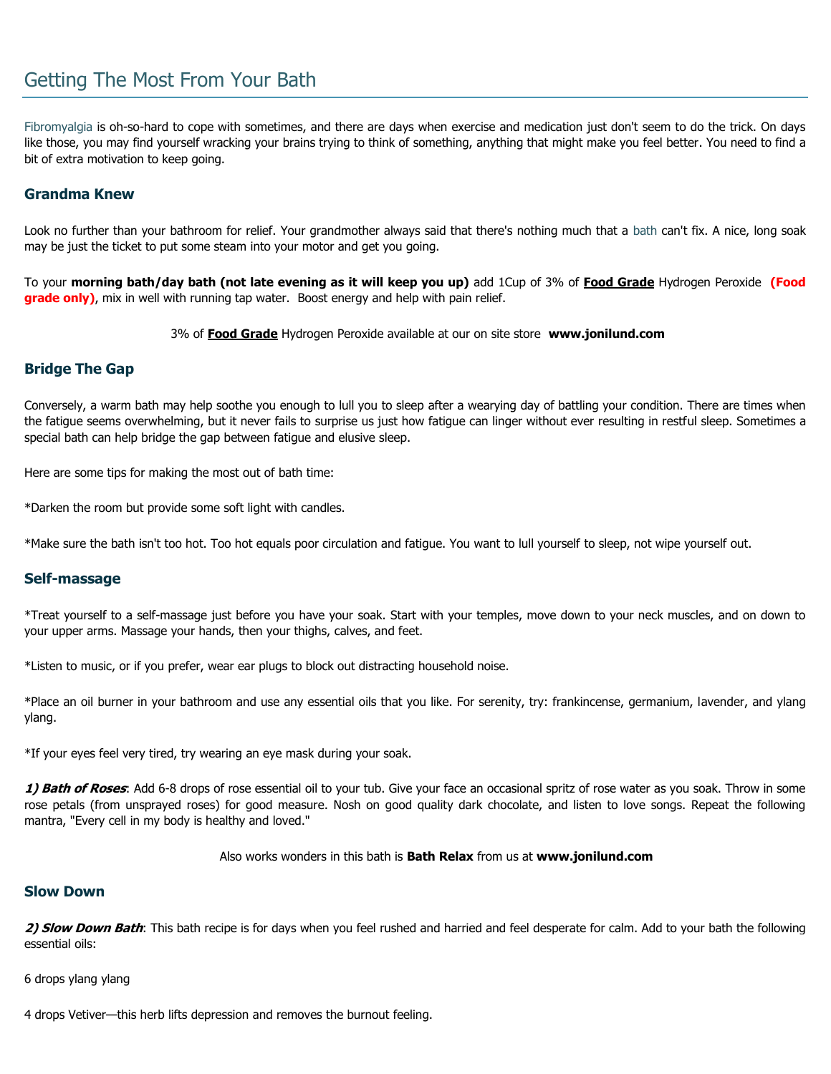# Getting The Most From Your Bath

[Fibromyalgia](http://www.fibromyalgia-symptoms.org/fibromyalgia_what_is.html) is oh-so-hard to cope with sometimes, and there are days when exercise and medication just don't seem to do the trick. On days like those, you may find yourself wracking your brains trying to think of something, anything that might make you feel better. You need to find a bit of extra motivation to keep going.

### **Grandma Knew**

Look no further than your bathroom for relief. Your grandmother always said that there's nothing much that a [bath](http://www.fibromyalgia-symptoms.org/fibromyalgia_pregnancy.html) can't fix. A nice, long soak may be just the ticket to put some steam into your motor and get you going.

To your **morning bath/day bath (not late evening as it will keep you up)** add 1Cup of 3% of **Food Grade** Hydrogen Peroxide **(Food grade only)**, mix in well with running tap water. Boost energy and help with pain relief.

3% of **Food Grade** Hydrogen Peroxide available at our on site store **www.jonilund.com**

### **Bridge The Gap**

Conversely, a warm bath may help soothe you enough to lull you to sleep after a wearying day of battling your condition. There are times when the fatigue seems overwhelming, but it never fails to surprise us just how fatigue can linger without ever resulting in restful sleep. Sometimes a special bath can help bridge the gap between fatigue and elusive sleep.

Here are some tips for making the most out of bath time:

\*Darken the room but provide some soft light with candles.

\*Make sure the bath isn't too hot. Too hot equals poor circulation and fatigue. You want to lull yourself to sleep, not wipe yourself out.

### **Self-massage**

\*Treat yourself to a self-massage just before you have your soak. Start with your temples, move down to your neck muscles, and on down to your upper arms. Massage your hands, then your thighs, calves, and feet.

\*Listen to music, or if you prefer, wear ear plugs to block out distracting household noise.

\*Place an oil burner in your bathroom and use any essential oils that you like. For serenity, try: frankincense, germanium, lavender, and ylang ylang.

\*If your eyes feel very tired, try wearing an eye mask during your soak.

**1) Bath of Roses**: Add 6-8 drops of rose essential oil to your tub. Give your face an occasional spritz of rose water as you soak. Throw in some rose petals (from unsprayed roses) for good measure. Nosh on good quality dark chocolate, and listen to love songs. Repeat the following mantra, "Every cell in my body is healthy and loved."

Also works wonders in this bath is **Bath Relax** from us at **www.jonilund.com**

### **Slow Down**

**2) Slow Down Bath**: This bath recipe is for days when you feel rushed and harried and feel desperate for calm. Add to your bath the following essential oils:

6 drops ylang ylang

4 drops Vetiver—this herb lifts depression and removes the burnout feeling.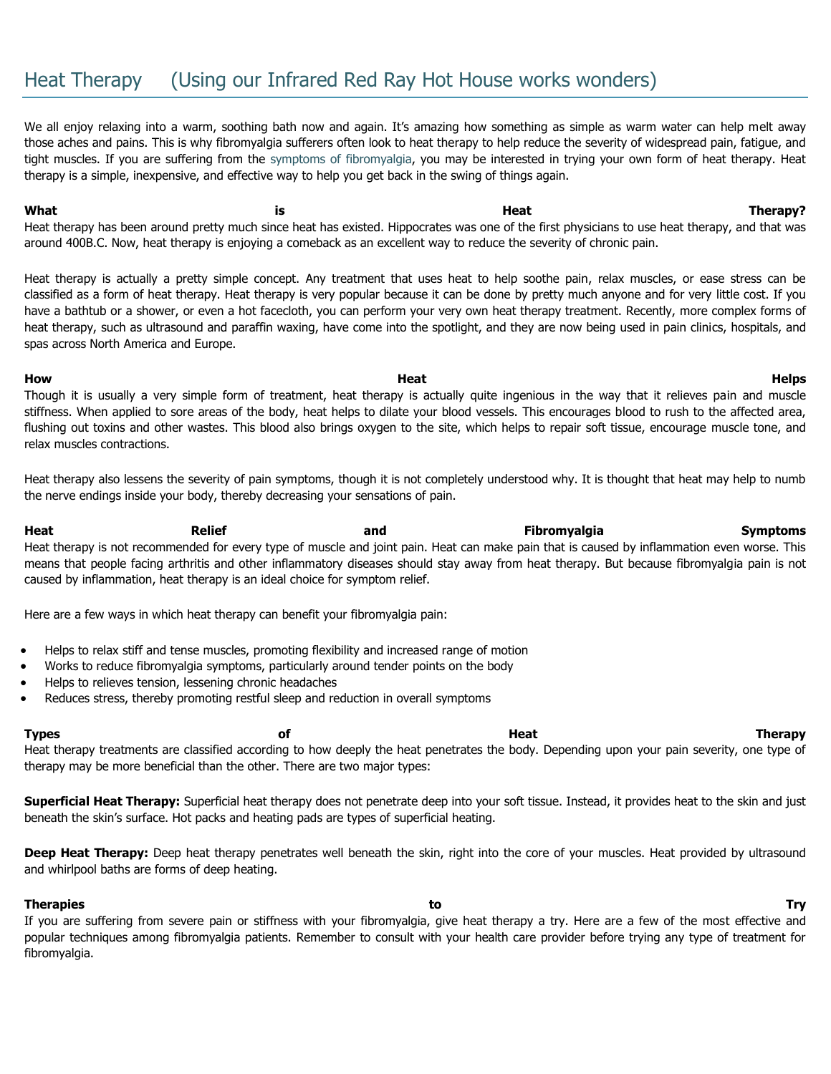# Heat Therapy (Using our Infrared Red Ray Hot House works wonders)

We all enjoy relaxing into a warm, soothing bath now and again. It's amazing how something as simple as warm water can help melt away those aches and pains. This is why fibromyalgia sufferers often look to heat therapy to help reduce the severity of widespread pain, fatigue, and tight muscles. If you are suffering from the [symptoms of fibromyalgia,](http://www.fibromyalgia-symptoms.org/fibromyalgia_treatment.html) you may be interested in trying your own form of heat therapy. Heat therapy is a simple, inexpensive, and effective way to help you get back in the swing of things again.

What is the set of the set of the set of the set of the set of the set of the set of the set of the set of the set of the set of the set of the set of the set of the set of the set of the set of the set of the set of the s Heat therapy has been around pretty much since heat has existed. Hippocrates was one of the first physicians to use heat therapy, and that was around 400B.C. Now, heat therapy is enjoying a comeback as an excellent way to reduce the severity of chronic pain.

Heat therapy is actually a pretty simple concept. Any treatment that uses heat to help soothe pain, relax muscles, or ease stress can be classified as a form of heat therapy. Heat therapy is very popular because it can be done by pretty much anyone and for very little cost. If you have a bathtub or a shower, or even a hot facecloth, you can perform your very own heat therapy treatment. Recently, more complex forms of heat therapy, such as ultrasound and paraffin waxing, have come into the spotlight, and they are now being used in pain clinics, hospitals, and spas across North America and Europe.

**How Heat Helps** Though it is usually a very simple form of treatment, heat therapy is actually quite ingenious in the way that it relieves pain and muscle stiffness. When applied to sore areas of the body, heat helps to dilate your blood vessels. This encourages blood to rush to the affected area, flushing out toxins and other wastes. This blood also brings oxygen to the site, which helps to repair soft tissue, encourage muscle tone, and relax muscles contractions.

Heat therapy also lessens the severity of pain symptoms, though it is not completely understood why. It is thought that heat may help to numb the nerve endings inside your body, thereby decreasing your sensations of pain.

**Heat Relief and Fibromyalgia Symptoms** Heat therapy is not recommended for every type of muscle and joint pain. Heat can make pain that is caused by inflammation even worse. This means that people facing arthritis and other inflammatory diseases should stay away from heat therapy. But because fibromyalgia pain is not caused by inflammation, heat therapy is an ideal choice for symptom relief.

Here are a few ways in which heat therapy can benefit your fibromyalgia pain:

- Helps to relax stiff and tense muscles, promoting flexibility and increased range of motion
- Works to reduce fibromyalgia symptoms, particularly around tender points on the body
- Helps to relieves tension, lessening chronic headaches
- Reduces stress, thereby promoting restful sleep and reduction in overall symptoms

**Types of Heat Therapy**

Heat therapy treatments are classified according to how deeply the heat penetrates the body. Depending upon your pain severity, one type of therapy may be more beneficial than the other. There are two major types:

**Superficial Heat Therapy:** Superficial heat therapy does not penetrate deep into your soft tissue. Instead, it provides heat to the skin and just beneath the skin's surface. Hot packs and heating pads are types of superficial heating.

**Deep Heat Therapy:** Deep heat therapy penetrates well beneath the skin, right into the core of your muscles. Heat provided by ultrasound and whirlpool baths are forms of deep heating.

#### **Therapies to Try**

If you are suffering from severe pain or stiffness with your fibromyalgia, give heat therapy a try. Here are a few of the most effective and popular techniques among fibromyalgia patients. Remember to consult with your health care provider before trying any type of treatment for fibromyalgia.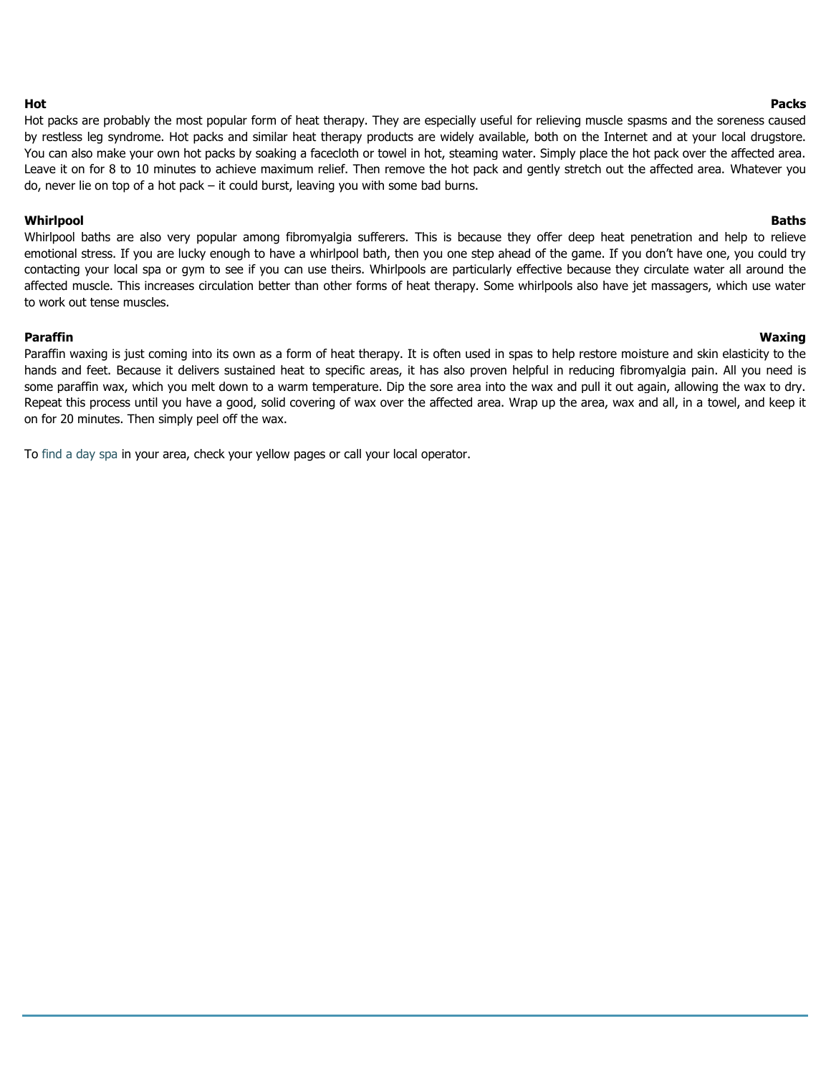Hot packs are probably the most popular form of heat therapy. They are especially useful for relieving muscle spasms and the soreness caused by restless leg syndrome. Hot packs and similar heat therapy products are widely available, both on the Internet and at your local drugstore. You can also make your own hot packs by soaking a facecloth or towel in hot, steaming water. Simply place the hot pack over the affected area. Leave it on for 8 to 10 minutes to achieve maximum relief. Then remove the hot pack and gently stretch out the affected area. Whatever you do, never lie on top of a hot pack – it could burst, leaving you with some bad burns.

#### **Whirlpool Baths**

#### Whirlpool baths are also very popular among fibromyalgia sufferers. This is because they offer deep heat penetration and help to relieve emotional stress. If you are lucky enough to have a whirlpool bath, then you one step ahead of the game. If you don't have one, you could try contacting your local spa or gym to see if you can use theirs. Whirlpools are particularly effective because they circulate water all around the affected muscle. This increases circulation better than other forms of heat therapy. Some whirlpools also have jet massagers, which use water to work out tense muscles.

#### **Paraffin Waxing**

Paraffin waxing is just coming into its own as a form of heat therapy. It is often used in spas to help restore moisture and skin elasticity to the hands and feet. Because it delivers sustained heat to specific areas, it has also proven helpful in reducing fibromyalgia pain. All you need is some paraffin wax, which you melt down to a warm temperature. Dip the sore area into the wax and pull it out again, allowing the wax to dry. Repeat this process until you have a good, solid covering of wax over the affected area. Wrap up the area, wax and all, in a towel, and keep it on for 20 minutes. Then simply peel off the wax.

To [find a day spa](http://www.day-spas.org/spa-directory.html) in your area, check your yellow pages or call your local operator.

#### **Hot Packs**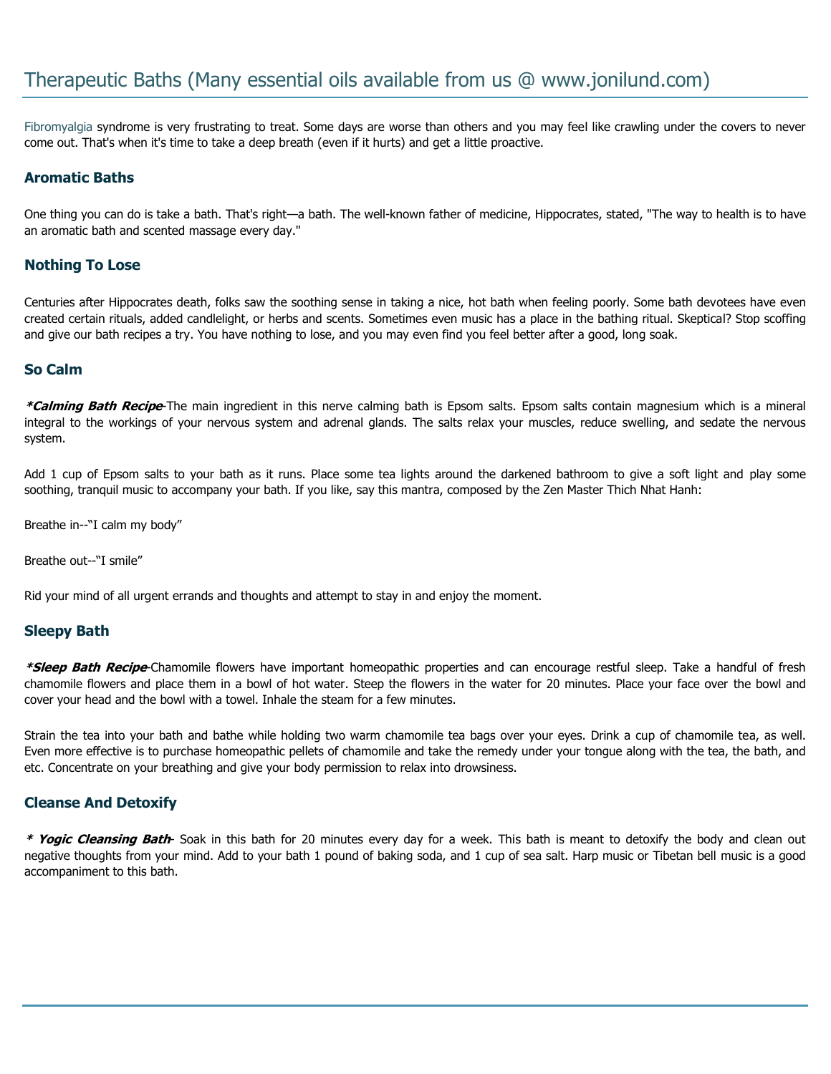[Fibromyalgia](http://www.fibromyalgia-symptoms.org/fibromyalgia_what_is.html) syndrome is very frustrating to treat. Some days are worse than others and you may feel like crawling under the covers to never come out. That's when it's time to take a deep breath (even if it hurts) and get a little proactive.

## **Aromatic Baths**

One thing you can do is take a bath. That's right—a bath. The well-known father of medicine, Hippocrates, stated, "The way to health is to have an aromatic bath and scented massage every day."

## **Nothing To Lose**

Centuries after Hippocrates death, folks saw the soothing sense in taking a nice, hot bath when feeling poorly. Some bath devotees have even created certain rituals, added candlelight, or herbs and scents. Sometimes even music has a place in the bathing ritual. Skeptical? Stop scoffing and give our bath recipes a try. You have nothing to lose, and you may even find you feel better after a good, long soak.

### **So Calm**

**\*Calming Bath Recipe**-The main ingredient in this nerve calming bath is Epsom salts. Epsom salts contain magnesium which is a mineral integral to the workings of your nervous system and adrenal glands. The salts relax your muscles, reduce swelling, and sedate the nervous system.

Add 1 cup of Epsom salts to your bath as it runs. Place some tea lights around the darkened bathroom to give a soft light and play some soothing, tranquil music to accompany your bath. If you like, say this mantra, composed by the Zen Master Thich Nhat Hanh:

Breathe in--"I calm my body"

Breathe out--"I smile"

Rid your mind of all urgent errands and thoughts and attempt to stay in and enjoy the moment.

### **Sleepy Bath**

**\*Sleep Bath Recipe**-Chamomile flowers have important homeopathic properties and can encourage restful sleep. Take a handful of fresh chamomile flowers and place them in a bowl of hot water. Steep the flowers in the water for 20 minutes. Place your face over the bowl and cover your head and the bowl with a towel. Inhale the steam for a few minutes.

Strain the tea into your bath and bathe while holding two warm chamomile tea bags over your eyes. Drink a cup of chamomile tea, as well. Even more effective is to purchase homeopathic pellets of chamomile and take the remedy under your tongue along with the tea, the bath, and etc. Concentrate on your breathing and give your body permission to relax into drowsiness.

### **Cleanse And Detoxify**

**\* Yogic Cleansing Bath**- Soak in this bath for 20 minutes every day for a week. This bath is meant to detoxify the body and clean out negative thoughts from your mind. Add to your bath 1 pound of baking soda, and 1 cup of sea salt. Harp music or Tibetan bell music is a good accompaniment to this bath.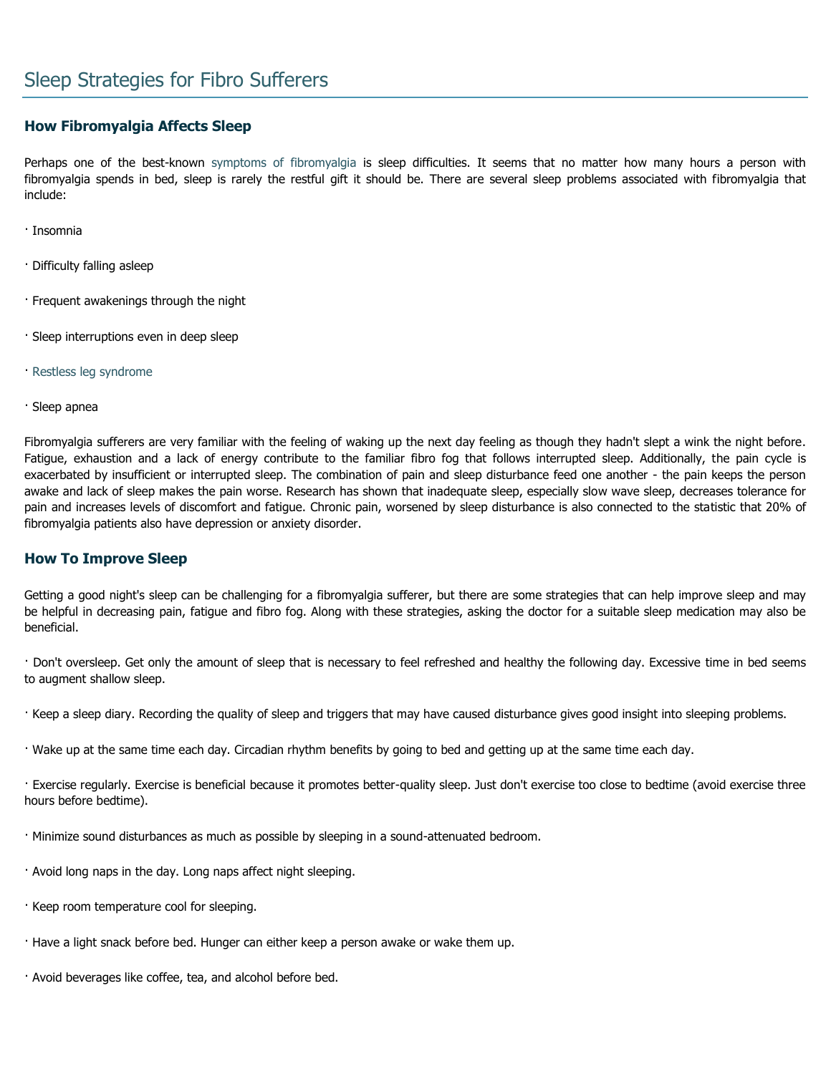# **How Fibromyalgia Affects Sleep**

Perhaps one of the best-known [symptoms of fibromyalgia](http://www.fibromyalgia-symptoms.org/fibromyalgia_treatment.html) is sleep difficulties. It seems that no matter how many hours a person with fibromyalgia spends in bed, sleep is rarely the restful gift it should be. There are several sleep problems associated with fibromyalgia that include:

- · Insomnia
- · Difficulty falling asleep
- · Frequent awakenings through the night
- · Sleep interruptions even in deep sleep
- · [Restless leg syndrome](http://www.fibromyalgia-symptoms.org/fibro-and-restless-leg.html)
- · Sleep apnea

Fibromyalgia sufferers are very familiar with the feeling of waking up the next day feeling as though they hadn't slept a wink the night before. Fatigue, exhaustion and a lack of energy contribute to the familiar fibro fog that follows interrupted sleep. Additionally, the pain cycle is exacerbated by insufficient or interrupted sleep. The combination of pain and sleep disturbance feed one another - the pain keeps the person awake and lack of sleep makes the pain worse. Research has shown that inadequate sleep, especially slow wave sleep, decreases tolerance for pain and increases levels of discomfort and fatigue. Chronic pain, worsened by sleep disturbance is also connected to the statistic that 20% of fibromyalgia patients also have depression or anxiety disorder.

### **How To Improve Sleep**

Getting a good night's sleep can be challenging for a fibromyalgia sufferer, but there are some strategies that can help improve sleep and may be helpful in decreasing pain, fatigue and fibro fog. Along with these strategies, asking the doctor for a suitable sleep medication may also be beneficial.

· Don't oversleep. Get only the amount of sleep that is necessary to feel refreshed and healthy the following day. Excessive time in bed seems to augment shallow sleep.

- · Keep a sleep diary. Recording the quality of sleep and triggers that may have caused disturbance gives good insight into sleeping problems.
- · Wake up at the same time each day. Circadian rhythm benefits by going to bed and getting up at the same time each day.

· Exercise regularly. Exercise is beneficial because it promotes better-quality sleep. Just don't exercise too close to bedtime (avoid exercise three hours before bedtime).

- · Minimize sound disturbances as much as possible by sleeping in a sound-attenuated bedroom.
- · Avoid long naps in the day. Long naps affect night sleeping.
- · Keep room temperature cool for sleeping.
- · Have a light snack before bed. Hunger can either keep a person awake or wake them up.
- · Avoid beverages like coffee, tea, and alcohol before bed.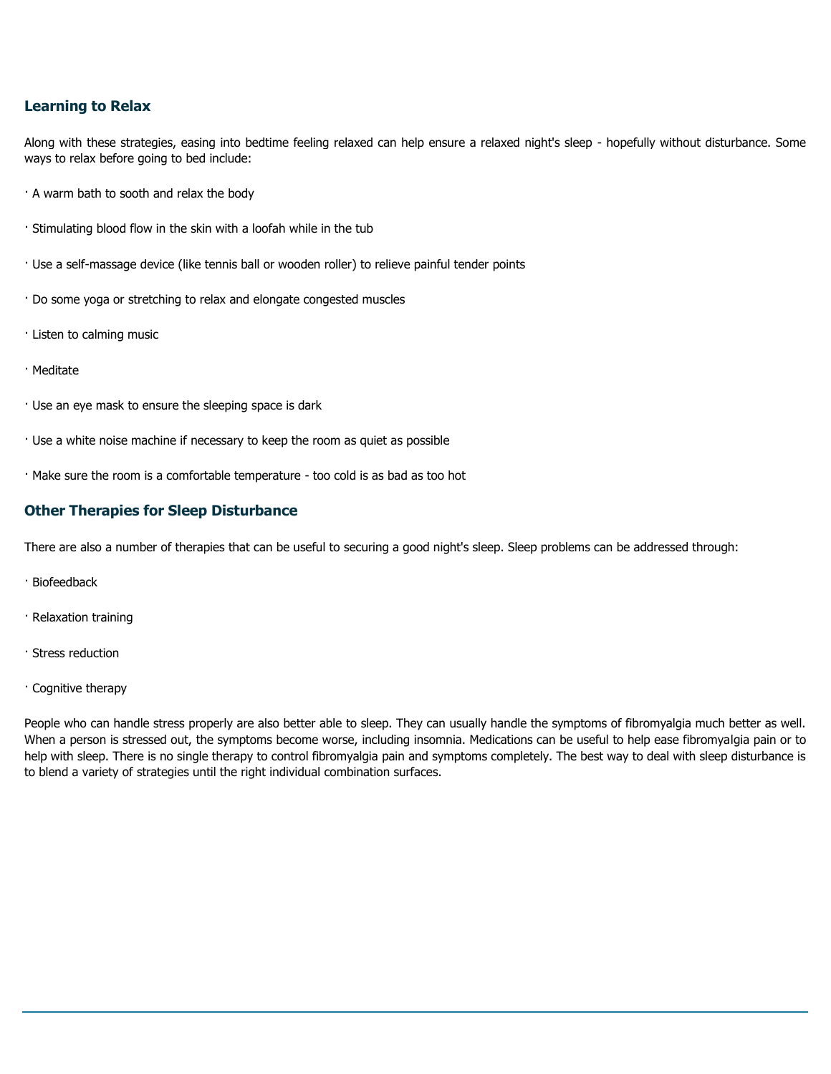## **Learning to Relax**

Along with these strategies, easing into bedtime feeling relaxed can help ensure a relaxed night's sleep - hopefully without disturbance. Some ways to relax before going to bed include:

- · A warm bath to sooth and relax the body
- · Stimulating blood flow in the skin with a loofah while in the tub
- · Use a self-massage device (like tennis ball or wooden roller) to relieve painful tender points
- · Do some yoga or stretching to relax and elongate congested muscles
- · Listen to calming music
- · Meditate
- · Use an eye mask to ensure the sleeping space is dark
- · Use a white noise machine if necessary to keep the room as quiet as possible
- · Make sure the room is a comfortable temperature too cold is as bad as too hot

## **Other Therapies for Sleep Disturbance**

There are also a number of therapies that can be useful to securing a good night's sleep. Sleep problems can be addressed through:

- · Biofeedback
- · Relaxation training
- · Stress reduction
- · Cognitive therapy

People who can handle stress properly are also better able to sleep. They can usually handle the symptoms of fibromyalgia much better as well. When a person is stressed out, the symptoms become worse, including insomnia. Medications can be useful to help ease fibromyalgia pain or to help with sleep. There is no single therapy to control fibromyalgia pain and symptoms completely. The best way to deal with sleep disturbance is to blend a variety of strategies until the right individual combination surfaces.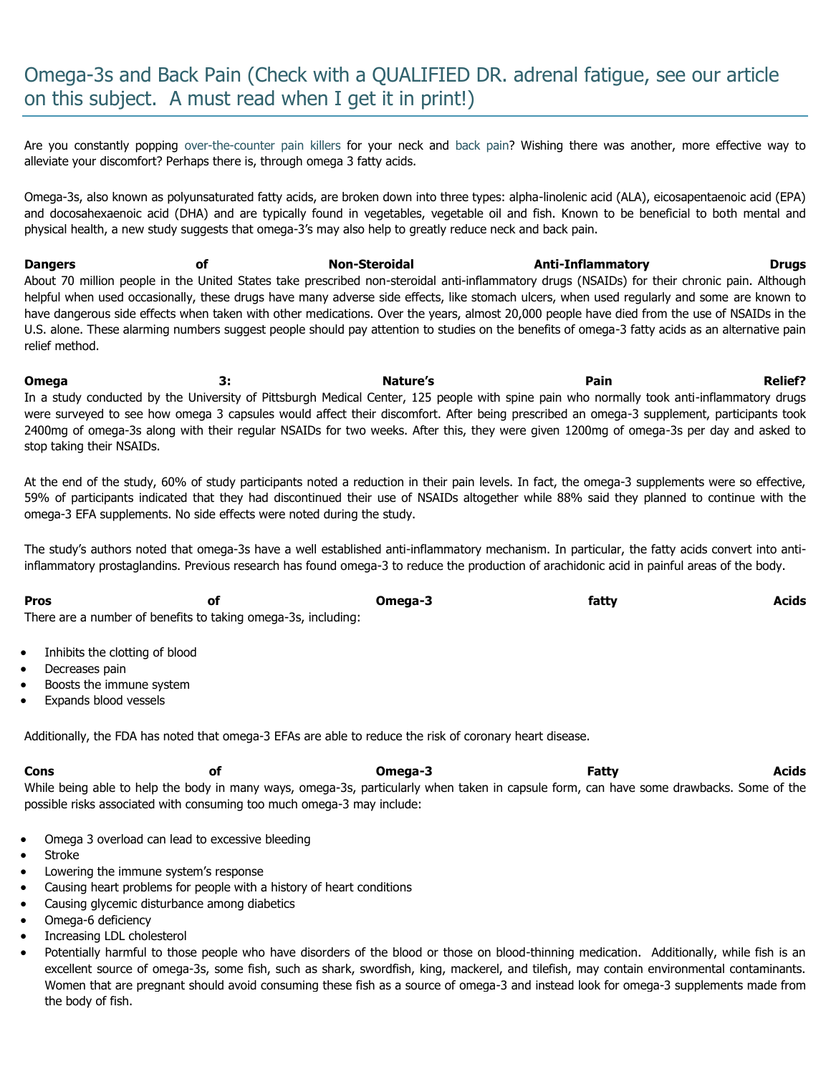# Omega-3s and Back Pain (Check with a QUALIFIED DR. adrenal fatigue, see our article on this subject. A must read when I get it in print!)

Are you constantly popping [over-the-counter pain killers](http://www.fibromyalgia-symptoms.org/fibromyalgia_over_the_counter.html) for your neck and [back pain?](http://www.fibromyalgia-symptoms.org/fibromyalgia_widespread_pain.html) Wishing there was another, more effective way to alleviate your discomfort? Perhaps there is, through omega 3 fatty acids.

Omega-3s, also known as polyunsaturated fatty acids, are broken down into three types: alpha-linolenic acid (ALA), eicosapentaenoic acid (EPA) and docosahexaenoic acid (DHA) and are typically found in vegetables, vegetable oil and fish. Known to be beneficial to both mental and physical health, a new study suggests that omega-3's may also help to greatly reduce neck and back pain.

**Dangers of Non-Steroidal Anti-Inflammatory Drugs** About 70 million people in the United States take prescribed non-steroidal anti-inflammatory drugs (NSAIDs) for their chronic pain. Although helpful when used occasionally, these drugs have many adverse side effects, like stomach ulcers, when used regularly and some are known to have dangerous side effects when taken with other medications. Over the years, almost 20,000 people have died from the use of NSAIDs in the U.S. alone. These alarming numbers suggest people should pay attention to studies on the benefits of omega-3 fatty acids as an alternative pain relief method.

**Omega 3: Nature's Pain Relief?**  In a study conducted by the University of Pittsburgh Medical Center, 125 people with spine pain who normally took anti-inflammatory drugs were surveyed to see how omega 3 capsules would affect their discomfort. After being prescribed an omega-3 supplement, participants took 2400mg of omega-3s along with their regular NSAIDs for two weeks. After this, they were given 1200mg of omega-3s per day and asked to stop taking their NSAIDs.

At the end of the study, 60% of study participants noted a reduction in their pain levels. In fact, the omega-3 supplements were so effective, 59% of participants indicated that they had discontinued their use of NSAIDs altogether while 88% said they planned to continue with the omega-3 EFA supplements. No side effects were noted during the study.

The study's authors noted that omega-3s have a well established anti-inflammatory mechanism. In particular, the fatty acids convert into antiinflammatory prostaglandins. Previous research has found omega-3 to reduce the production of arachidonic acid in painful areas of the body.

| <b>Pros</b>                                                   | Omega-3 | fatty | Acids |
|---------------------------------------------------------------|---------|-------|-------|
| There are a number of benefits to taking omega-3s, including: |         |       |       |

- Inhibits the clotting of blood
- Decreases pain
- Boosts the immune system
- Expands blood vessels

Additionally, the FDA has noted that omega-3 EFAs are able to reduce the risk of coronary heart disease.

**Cons of Omega-3 Fatty Acids** While being able to help the body in many ways, omega-3s, particularly when taken in capsule form, can have some drawbacks. Some of the possible risks associated with consuming too much omega-3 may include:

- Omega 3 overload can lead to excessive bleeding
- Stroke
- Lowering the immune system's response
- Causing heart problems for people with a history of heart conditions
- Causing glycemic disturbance among diabetics
- Omega-6 deficiency
- Increasing LDL cholesterol
- Potentially harmful to those people who have disorders of the blood or those on blood-thinning medication. Additionally, while fish is an excellent source of omega-3s, some fish, such as shark, swordfish, king, mackerel, and tilefish, may contain environmental contaminants. Women that are pregnant should avoid consuming these fish as a source of omega-3 and instead look for omega-3 supplements made from the body of fish.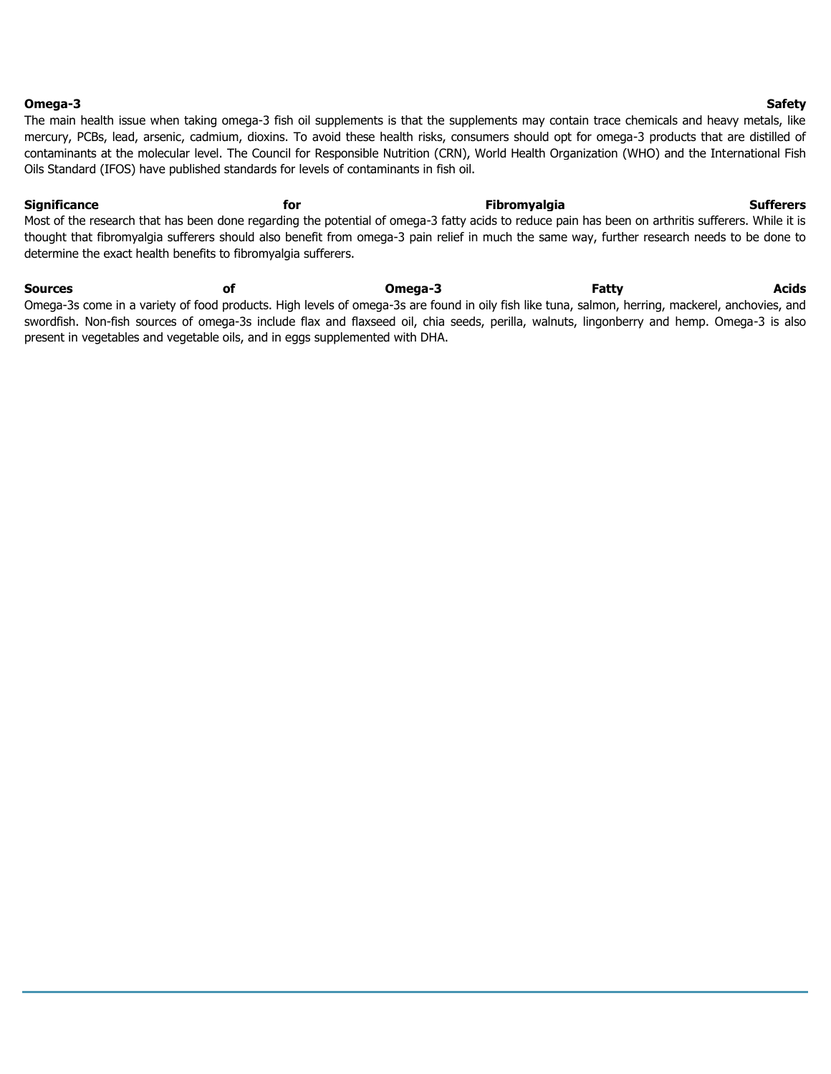#### **Omega-3 Safety**

The main health issue when taking omega-3 fish oil supplements is that the supplements may contain trace chemicals and heavy metals, like mercury, PCBs, lead, arsenic, cadmium, dioxins. To avoid these health risks, consumers should opt for omega-3 products that are distilled of contaminants at the molecular level. The Council for Responsible Nutrition (CRN), World Health Organization (WHO) and the International Fish Oils Standard (IFOS) have published standards for levels of contaminants in fish oil.

**Significance for Fibromyalgia Sufferers** Most of the research that has been done regarding the potential of omega-3 fatty acids to reduce pain has been on arthritis sufferers. While it is thought that fibromyalgia sufferers should also benefit from omega-3 pain relief in much the same way, further research needs to be done to determine the exact health benefits to fibromyalgia sufferers.

**Sources of Omega-3 Fatty Acids** Omega-3s come in a variety of food products. High levels of omega-3s are found in oily fish like tuna, salmon, herring, mackerel, anchovies, and swordfish. Non-fish sources of omega-3s include flax and flaxseed oil, chia seeds, perilla, walnuts, lingonberry and hemp. Omega-3 is also present in vegetables and vegetable oils, and in eggs supplemented with DHA.